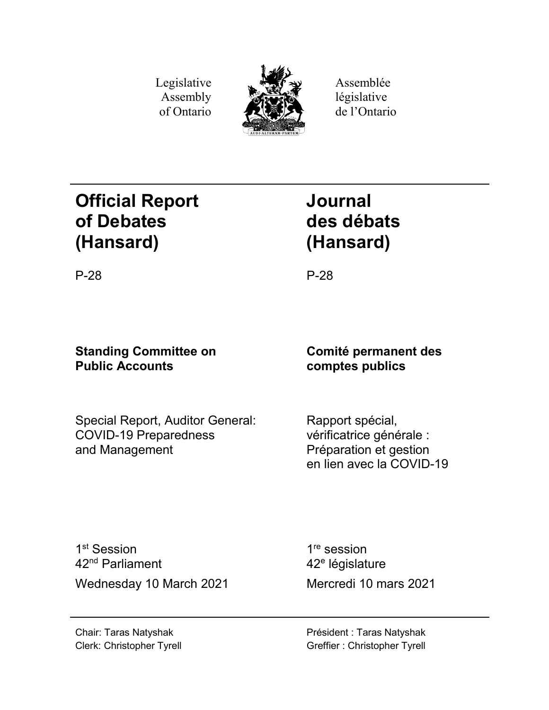Legislative Assembly of Ontario



Assemblée législative de l'Ontario

# **Official Report of Debates (Hansard)**

# **Journal des débats (Hansard)**

P-28 P-28

# **Standing Committee on Public Accounts**

Special Report, Auditor General: COVID-19 Preparedness and Management

# **Comité permanent des comptes publics**

Rapport spécial, vérificatrice générale : Préparation et gestion en lien avec la COVID-19

1<sup>st</sup> Session 42nd Parliament Wednesday 10 March 2021 Mercredi 10 mars 2021

1<sup>re</sup> session 42<sup>e</sup> législature

Président : Taras Natyshak Greffier : Christopher Tyrell

Chair: Taras Natyshak Clerk: Christopher Tyrell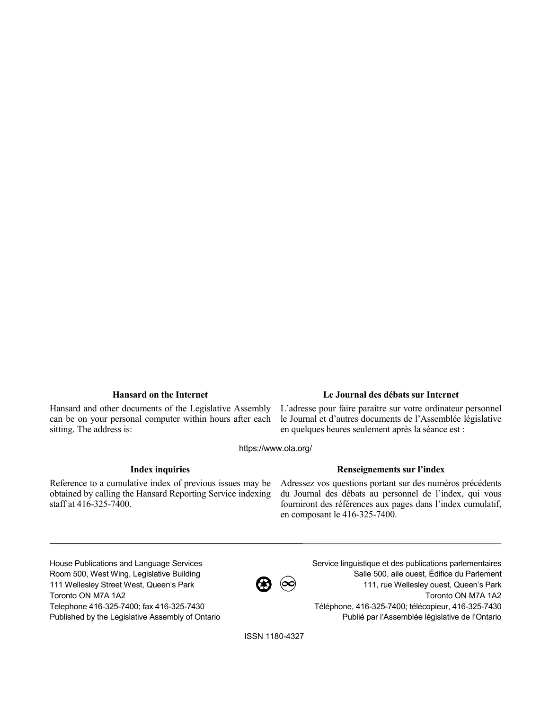Hansard and other documents of the Legislative Assembly can be on your personal computer within hours after each sitting. The address is:

### **Hansard on the Internet Le Journal des débats sur Internet**

L'adresse pour faire paraître sur votre ordinateur personnel le Journal et d'autres documents de l'Assemblée législative en quelques heures seulement après la séance est :

https://www.ola.org/

Reference to a cumulative index of previous issues may be obtained by calling the Hansard Reporting Service indexing staff at 416-325-7400.

## **Index inquiries Renseignements sur l'index**

Adressez vos questions portant sur des numéros précédents du Journal des débats au personnel de l'index, qui vous fourniront des références aux pages dans l'index cumulatif, en composant le 416-325-7400.

House Publications and Language Services Room 500, West Wing, Legislative Building 111 Wellesley Street West, Queen's Park Toronto ON M7A 1A2 Telephone 416-325-7400; fax 416-325-7430 Published by the Legislative Assembly of Ontario



Service linguistique et des publications parlementaires Salle 500, aile ouest, Édifice du Parlement 111, rue Wellesley ouest, Queen's Park Toronto ON M7A 1A2 Téléphone, 416-325-7400; télécopieur, 416-325-7430 Publié par l'Assemblée législative de l'Ontario

ISSN 1180-4327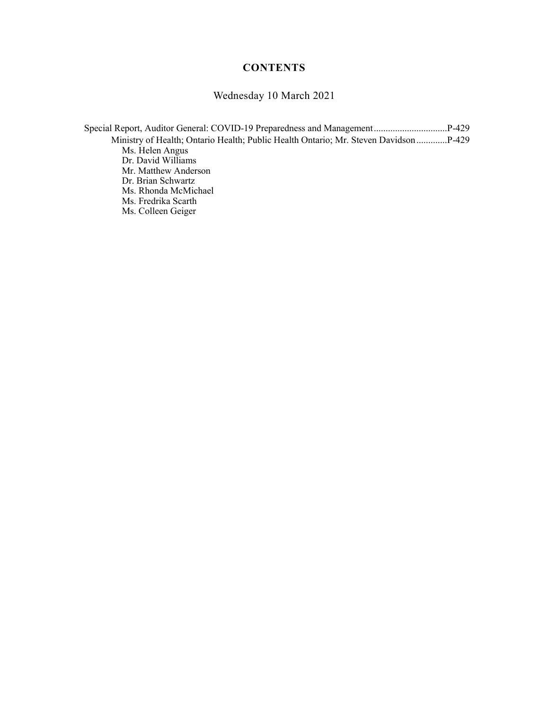# **CONTENTS**

# Wednesday 10 March 2021

| Ministry of Health; Ontario Health; Public Health Ontario; Mr. Steven Davidson  P-429 |  |
|---------------------------------------------------------------------------------------|--|
| Ms. Helen Angus                                                                       |  |
| Dr. David Williams                                                                    |  |
| Mr. Matthew Anderson                                                                  |  |
| Dr. Brian Schwartz                                                                    |  |
| Ms. Rhonda McMichael                                                                  |  |
| Ms. Fredrika Scarth                                                                   |  |
| Ms. Colleen Geiger                                                                    |  |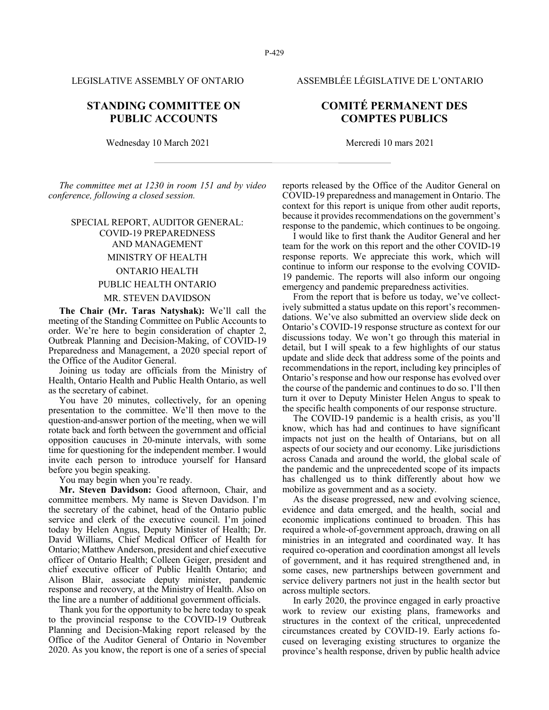## **STANDING COMMITTEE ON PUBLIC ACCOUNTS**

Wednesday 10 March 2021 Mercredi 10 mars 2021

*The committee met at 1230 in room 151 and by video conference, following a closed session.*

# SPECIAL REPORT, AUDITOR GENERAL: COVID-19 PREPAREDNESS AND MANAGEMENT MINISTRY OF HEALTH ONTARIO HEALTH PUBLIC HEALTH ONTARIO MR. STEVEN DAVIDSON

**The Chair (Mr. Taras Natyshak):** We'll call the meeting of the Standing Committee on Public Accounts to order. We're here to begin consideration of chapter 2, Outbreak Planning and Decision-Making, of COVID-19 Preparedness and Management, a 2020 special report of the Office of the Auditor General.

Joining us today are officials from the Ministry of Health, Ontario Health and Public Health Ontario, as well as the secretary of cabinet.

You have 20 minutes, collectively, for an opening presentation to the committee. We'll then move to the question-and-answer portion of the meeting, when we will rotate back and forth between the government and official opposition caucuses in 20-minute intervals, with some time for questioning for the independent member. I would invite each person to introduce yourself for Hansard before you begin speaking.

You may begin when you're ready.

**Mr. Steven Davidson:** Good afternoon, Chair, and committee members. My name is Steven Davidson. I'm the secretary of the cabinet, head of the Ontario public service and clerk of the executive council. I'm joined today by Helen Angus, Deputy Minister of Health; Dr. David Williams, Chief Medical Officer of Health for Ontario; Matthew Anderson, president and chief executive officer of Ontario Health; Colleen Geiger, president and chief executive officer of Public Health Ontario; and Alison Blair, associate deputy minister, pandemic response and recovery, at the Ministry of Health. Also on the line are a number of additional government officials.

Thank you for the opportunity to be here today to speak to the provincial response to the COVID-19 Outbreak Planning and Decision-Making report released by the Office of the Auditor General of Ontario in November 2020. As you know, the report is one of a series of special

reports released by the Office of the Auditor General on COVID-19 preparedness and management in Ontario. The context for this report is unique from other audit reports, because it provides recommendations on the government's

response to the pandemic, which continues to be ongoing. I would like to first thank the Auditor General and her team for the work on this report and the other COVID-19 response reports. We appreciate this work, which will continue to inform our response to the evolving COVID-19 pandemic. The reports will also inform our ongoing emergency and pandemic preparedness activities.

From the report that is before us today, we've collectively submitted a status update on this report's recommendations. We've also submitted an overview slide deck on Ontario's COVID-19 response structure as context for our discussions today. We won't go through this material in detail, but I will speak to a few highlights of our status update and slide deck that address some of the points and recommendations in the report, including key principles of Ontario's response and how our response has evolved over the course of the pandemic and continues to do so. I'll then turn it over to Deputy Minister Helen Angus to speak to the specific health components of our response structure.

The COVID-19 pandemic is a health crisis, as you'll know, which has had and continues to have significant impacts not just on the health of Ontarians, but on all aspects of our society and our economy. Like jurisdictions across Canada and around the world, the global scale of the pandemic and the unprecedented scope of its impacts has challenged us to think differently about how we mobilize as government and as a society.

As the disease progressed, new and evolving science, evidence and data emerged, and the health, social and economic implications continued to broaden. This has required a whole-of-government approach, drawing on all ministries in an integrated and coordinated way. It has required co-operation and coordination amongst all levels of government, and it has required strengthened and, in some cases, new partnerships between government and service delivery partners not just in the health sector but across multiple sectors.

In early 2020, the province engaged in early proactive work to review our existing plans, frameworks and structures in the context of the critical, unprecedented circumstances created by COVID-19. Early actions focused on leveraging existing structures to organize the province's health response, driven by public health advice

LEGISLATIVE ASSEMBLY OF ONTARIO ASSEMBLÉE LÉGISLATIVE DE L'ONTARIO

# **COMITÉ PERMANENT DES COMPTES PUBLICS**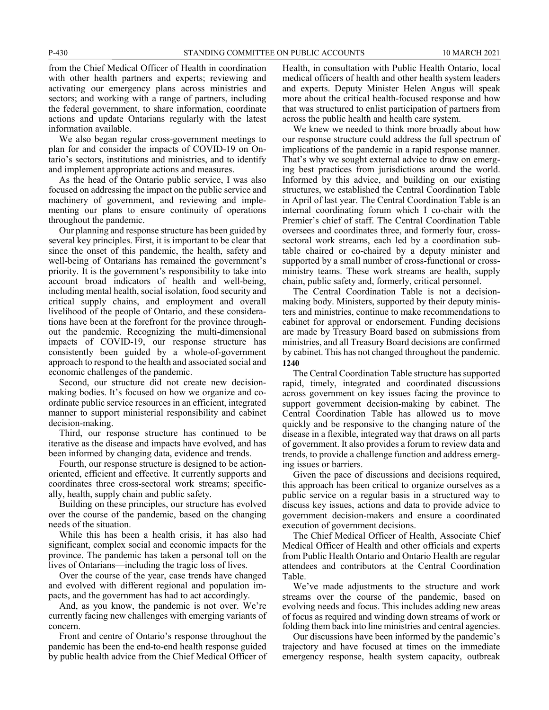from the Chief Medical Officer of Health in coordination with other health partners and experts; reviewing and activating our emergency plans across ministries and sectors; and working with a range of partners, including the federal government, to share information, coordinate actions and update Ontarians regularly with the latest information available.

We also began regular cross-government meetings to plan for and consider the impacts of COVID-19 on Ontario's sectors, institutions and ministries, and to identify and implement appropriate actions and measures.

As the head of the Ontario public service, I was also focused on addressing the impact on the public service and machinery of government, and reviewing and implementing our plans to ensure continuity of operations throughout the pandemic.

Our planning and response structure has been guided by several key principles. First, it is important to be clear that since the onset of this pandemic, the health, safety and well-being of Ontarians has remained the government's priority. It is the government's responsibility to take into account broad indicators of health and well-being, including mental health, social isolation, food security and critical supply chains, and employment and overall livelihood of the people of Ontario, and these considerations have been at the forefront for the province throughout the pandemic. Recognizing the multi-dimensional impacts of COVID-19, our response structure has consistently been guided by a whole-of-government approach to respond to the health and associated social and economic challenges of the pandemic.

Second, our structure did not create new decisionmaking bodies. It's focused on how we organize and coordinate public service resources in an efficient, integrated manner to support ministerial responsibility and cabinet decision-making.

Third, our response structure has continued to be iterative as the disease and impacts have evolved, and has been informed by changing data, evidence and trends.

Fourth, our response structure is designed to be actionoriented, efficient and effective. It currently supports and coordinates three cross-sectoral work streams; specifically, health, supply chain and public safety.

Building on these principles, our structure has evolved over the course of the pandemic, based on the changing needs of the situation.

While this has been a health crisis, it has also had significant, complex social and economic impacts for the province. The pandemic has taken a personal toll on the lives of Ontarians—including the tragic loss of lives.

Over the course of the year, case trends have changed and evolved with different regional and population impacts, and the government has had to act accordingly.

And, as you know, the pandemic is not over. We're currently facing new challenges with emerging variants of concern.

Front and centre of Ontario's response throughout the pandemic has been the end-to-end health response guided by public health advice from the Chief Medical Officer of Health, in consultation with Public Health Ontario, local medical officers of health and other health system leaders and experts. Deputy Minister Helen Angus will speak more about the critical health-focused response and how that was structured to enlist participation of partners from across the public health and health care system.

We knew we needed to think more broadly about how our response structure could address the full spectrum of implications of the pandemic in a rapid response manner. That's why we sought external advice to draw on emerging best practices from jurisdictions around the world. Informed by this advice, and building on our existing structures, we established the Central Coordination Table in April of last year. The Central Coordination Table is an internal coordinating forum which I co-chair with the Premier's chief of staff. The Central Coordination Table oversees and coordinates three, and formerly four, crosssectoral work streams, each led by a coordination subtable chaired or co-chaired by a deputy minister and supported by a small number of cross-functional or crossministry teams. These work streams are health, supply chain, public safety and, formerly, critical personnel.

The Central Coordination Table is not a decisionmaking body. Ministers, supported by their deputy ministers and ministries, continue to make recommendations to cabinet for approval or endorsement. Funding decisions are made by Treasury Board based on submissions from ministries, and all Treasury Board decisions are confirmed by cabinet. This has not changed throughout the pandemic. **1240**

The Central Coordination Table structure has supported rapid, timely, integrated and coordinated discussions across government on key issues facing the province to support government decision-making by cabinet. The Central Coordination Table has allowed us to move quickly and be responsive to the changing nature of the disease in a flexible, integrated way that draws on all parts of government. It also provides a forum to review data and trends, to provide a challenge function and address emerging issues or barriers.

Given the pace of discussions and decisions required, this approach has been critical to organize ourselves as a public service on a regular basis in a structured way to discuss key issues, actions and data to provide advice to government decision-makers and ensure a coordinated execution of government decisions.

The Chief Medical Officer of Health, Associate Chief Medical Officer of Health and other officials and experts from Public Health Ontario and Ontario Health are regular attendees and contributors at the Central Coordination Table.

We've made adjustments to the structure and work streams over the course of the pandemic, based on evolving needs and focus. This includes adding new areas of focus as required and winding down streams of work or folding them back into line ministries and central agencies.

Our discussions have been informed by the pandemic's trajectory and have focused at times on the immediate emergency response, health system capacity, outbreak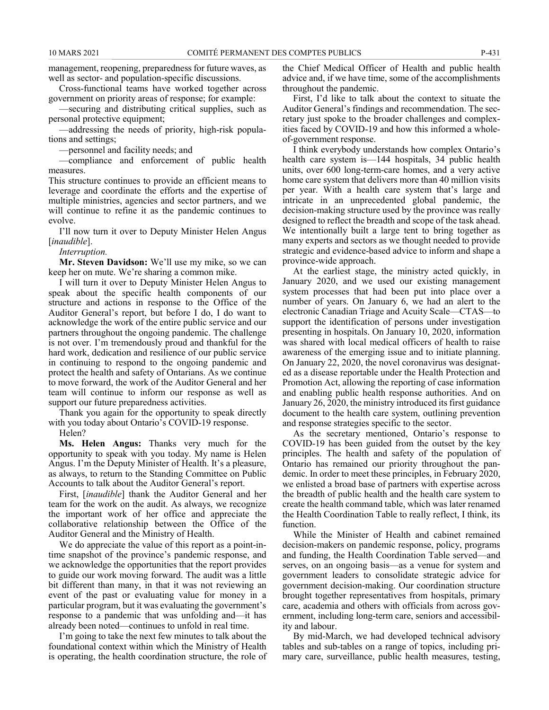management, reopening, preparedness for future waves, as well as sector- and population-specific discussions.

Cross-functional teams have worked together across government on priority areas of response; for example:

—securing and distributing critical supplies, such as personal protective equipment;

—addressing the needs of priority, high-risk populations and settings;

—personnel and facility needs; and

—compliance and enforcement of public health measures.

This structure continues to provide an efficient means to leverage and coordinate the efforts and the expertise of multiple ministries, agencies and sector partners, and we will continue to refine it as the pandemic continues to evolve.

I'll now turn it over to Deputy Minister Helen Angus [*inaudible*].

*Interruption.*

**Mr. Steven Davidson:** We'll use my mike, so we can keep her on mute. We're sharing a common mike.

I will turn it over to Deputy Minister Helen Angus to speak about the specific health components of our structure and actions in response to the Office of the Auditor General's report, but before I do, I do want to acknowledge the work of the entire public service and our partners throughout the ongoing pandemic. The challenge is not over. I'm tremendously proud and thankful for the hard work, dedication and resilience of our public service in continuing to respond to the ongoing pandemic and protect the health and safety of Ontarians. As we continue to move forward, the work of the Auditor General and her team will continue to inform our response as well as support our future preparedness activities.

Thank you again for the opportunity to speak directly with you today about Ontario's COVID-19 response.

Helen?

**Ms. Helen Angus:** Thanks very much for the opportunity to speak with you today. My name is Helen Angus. I'm the Deputy Minister of Health. It's a pleasure, as always, to return to the Standing Committee on Public Accounts to talk about the Auditor General's report.

First, [*inaudible*] thank the Auditor General and her team for the work on the audit. As always, we recognize the important work of her office and appreciate the collaborative relationship between the Office of the Auditor General and the Ministry of Health.

We do appreciate the value of this report as a point-intime snapshot of the province's pandemic response, and we acknowledge the opportunities that the report provides to guide our work moving forward. The audit was a little bit different than many, in that it was not reviewing an event of the past or evaluating value for money in a particular program, but it was evaluating the government's response to a pandemic that was unfolding and—it has already been noted—continues to unfold in real time.

I'm going to take the next few minutes to talk about the foundational context within which the Ministry of Health is operating, the health coordination structure, the role of

the Chief Medical Officer of Health and public health advice and, if we have time, some of the accomplishments throughout the pandemic.

First, I'd like to talk about the context to situate the Auditor General's findings and recommendation. The secretary just spoke to the broader challenges and complexities faced by COVID-19 and how this informed a wholeof-government response.

I think everybody understands how complex Ontario's health care system is—144 hospitals, 34 public health units, over 600 long-term-care homes, and a very active home care system that delivers more than 40 million visits per year. With a health care system that's large and intricate in an unprecedented global pandemic, the decision-making structure used by the province was really designed to reflect the breadth and scope of the task ahead. We intentionally built a large tent to bring together as many experts and sectors as we thought needed to provide strategic and evidence-based advice to inform and shape a province-wide approach.

At the earliest stage, the ministry acted quickly, in January 2020, and we used our existing management system processes that had been put into place over a number of years. On January 6, we had an alert to the electronic Canadian Triage and Acuity Scale—CTAS—to support the identification of persons under investigation presenting in hospitals. On January 10, 2020, information was shared with local medical officers of health to raise awareness of the emerging issue and to initiate planning. On January 22, 2020, the novel coronavirus was designated as a disease reportable under the Health Protection and Promotion Act, allowing the reporting of case information and enabling public health response authorities. And on January 26, 2020, the ministry introduced its first guidance document to the health care system, outlining prevention and response strategies specific to the sector.

As the secretary mentioned, Ontario's response to COVID-19 has been guided from the outset by the key principles. The health and safety of the population of Ontario has remained our priority throughout the pandemic. In order to meet these principles, in February 2020, we enlisted a broad base of partners with expertise across the breadth of public health and the health care system to create the health command table, which was later renamed the Health Coordination Table to really reflect, I think, its function.

While the Minister of Health and cabinet remained decision-makers on pandemic response, policy, programs and funding, the Health Coordination Table served—and serves, on an ongoing basis—as a venue for system and government leaders to consolidate strategic advice for government decision-making. Our coordination structure brought together representatives from hospitals, primary care, academia and others with officials from across government, including long-term care, seniors and accessibility and labour.

By mid-March, we had developed technical advisory tables and sub-tables on a range of topics, including primary care, surveillance, public health measures, testing,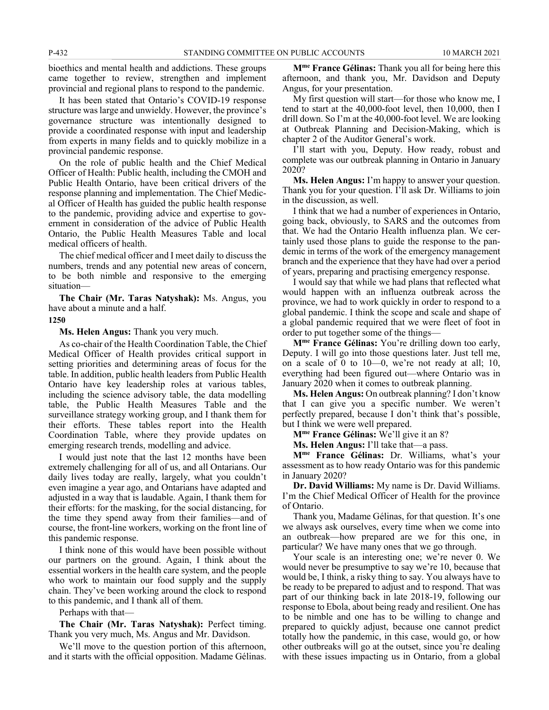bioethics and mental health and addictions. These groups came together to review, strengthen and implement provincial and regional plans to respond to the pandemic.

It has been stated that Ontario's COVID-19 response structure was large and unwieldy. However, the province's governance structure was intentionally designed to provide a coordinated response with input and leadership from experts in many fields and to quickly mobilize in a provincial pandemic response.

On the role of public health and the Chief Medical Officer of Health: Public health, including the CMOH and Public Health Ontario, have been critical drivers of the response planning and implementation. The Chief Medical Officer of Health has guided the public health response to the pandemic, providing advice and expertise to government in consideration of the advice of Public Health Ontario, the Public Health Measures Table and local medical officers of health.

The chief medical officer and I meet daily to discuss the numbers, trends and any potential new areas of concern, to be both nimble and responsive to the emerging situation—

**The Chair (Mr. Taras Natyshak):** Ms. Angus, you have about a minute and a half.

#### **1250**

**Ms. Helen Angus:** Thank you very much.

As co-chair of the Health Coordination Table, the Chief Medical Officer of Health provides critical support in setting priorities and determining areas of focus for the table. In addition, public health leaders from Public Health Ontario have key leadership roles at various tables, including the science advisory table, the data modelling table, the Public Health Measures Table and the surveillance strategy working group, and I thank them for their efforts. These tables report into the Health Coordination Table, where they provide updates on emerging research trends, modelling and advice.

I would just note that the last 12 months have been extremely challenging for all of us, and all Ontarians. Our daily lives today are really, largely, what you couldn't even imagine a year ago, and Ontarians have adapted and adjusted in a way that is laudable. Again, I thank them for their efforts: for the masking, for the social distancing, for the time they spend away from their families—and of course, the front-line workers, working on the front line of this pandemic response.

I think none of this would have been possible without our partners on the ground. Again, I think about the essential workers in the health care system, and the people who work to maintain our food supply and the supply chain. They've been working around the clock to respond to this pandemic, and I thank all of them.

Perhaps with that—

**The Chair (Mr. Taras Natyshak):** Perfect timing. Thank you very much, Ms. Angus and Mr. Davidson.

We'll move to the question portion of this afternoon, and it starts with the official opposition. Madame Gélinas.

**Mme France Gélinas:** Thank you all for being here this afternoon, and thank you, Mr. Davidson and Deputy Angus, for your presentation.

My first question will start—for those who know me, I tend to start at the 40,000-foot level, then 10,000, then I drill down. So I'm at the 40,000-foot level. We are looking at Outbreak Planning and Decision-Making, which is chapter 2 of the Auditor General's work.

I'll start with you, Deputy. How ready, robust and complete was our outbreak planning in Ontario in January 2020?

**Ms. Helen Angus:** I'm happy to answer your question. Thank you for your question. I'll ask Dr. Williams to join in the discussion, as well.

I think that we had a number of experiences in Ontario, going back, obviously, to SARS and the outcomes from that. We had the Ontario Health influenza plan. We certainly used those plans to guide the response to the pandemic in terms of the work of the emergency management branch and the experience that they have had over a period of years, preparing and practising emergency response.

I would say that while we had plans that reflected what would happen with an influenza outbreak across the province, we had to work quickly in order to respond to a global pandemic. I think the scope and scale and shape of a global pandemic required that we were fleet of foot in order to put together some of the things—

**Mme France Gélinas:** You're drilling down too early, Deputy. I will go into those questions later. Just tell me, on a scale of 0 to 10—0, we're not ready at all; 10, everything had been figured out—where Ontario was in January 2020 when it comes to outbreak planning.

**Ms. Helen Angus:** On outbreak planning? I don't know that I can give you a specific number. We weren't perfectly prepared, because I don't think that's possible, but I think we were well prepared.

**Mme France Gélinas:** We'll give it an 8?

**Ms. Helen Angus:** I'll take that—a pass.

**Mme France Gélinas:** Dr. Williams, what's your assessment as to how ready Ontario was for this pandemic in January 2020?

**Dr. David Williams:** My name is Dr. David Williams. I'm the Chief Medical Officer of Health for the province of Ontario.

Thank you, Madame Gélinas, for that question. It's one we always ask ourselves, every time when we come into an outbreak—how prepared are we for this one, in particular? We have many ones that we go through.

Your scale is an interesting one; we're never 0. We would never be presumptive to say we're 10, because that would be, I think, a risky thing to say. You always have to be ready to be prepared to adjust and to respond. That was part of our thinking back in late 2018-19, following our response to Ebola, about being ready and resilient. One has to be nimble and one has to be willing to change and prepared to quickly adjust, because one cannot predict totally how the pandemic, in this case, would go, or how other outbreaks will go at the outset, since you're dealing with these issues impacting us in Ontario, from a global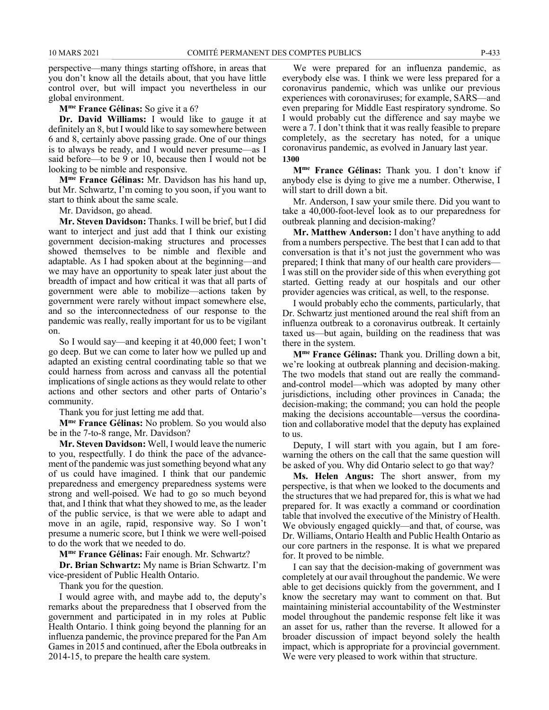perspective—many things starting offshore, in areas that you don't know all the details about, that you have little control over, but will impact you nevertheless in our global environment.

**Mme France Gélinas:** So give it a 6?

**Dr. David Williams:** I would like to gauge it at definitely an 8, but I would like to say somewhere between 6 and 8, certainly above passing grade. One of our things is to always be ready, and I would never presume—as I said before—to be 9 or 10, because then I would not be looking to be nimble and responsive.

**Mme France Gélinas:** Mr. Davidson has his hand up, but Mr. Schwartz, I'm coming to you soon, if you want to start to think about the same scale.

Mr. Davidson, go ahead.

**Mr. Steven Davidson:** Thanks. I will be brief, but I did want to interject and just add that I think our existing government decision-making structures and processes showed themselves to be nimble and flexible and adaptable. As I had spoken about at the beginning—and we may have an opportunity to speak later just about the breadth of impact and how critical it was that all parts of government were able to mobilize—actions taken by government were rarely without impact somewhere else, and so the interconnectedness of our response to the pandemic was really, really important for us to be vigilant on.

So I would say—and keeping it at 40,000 feet; I won't go deep. But we can come to later how we pulled up and adapted an existing central coordinating table so that we could harness from across and canvass all the potential implications of single actions as they would relate to other actions and other sectors and other parts of Ontario's community.

Thank you for just letting me add that.

**Mme France Gélinas:** No problem. So you would also be in the 7-to-8 range, Mr. Davidson?

**Mr. Steven Davidson:** Well, I would leave the numeric to you, respectfully. I do think the pace of the advancement of the pandemic was just something beyond what any of us could have imagined. I think that our pandemic preparedness and emergency preparedness systems were strong and well-poised. We had to go so much beyond that, and I think that what they showed to me, as the leader of the public service, is that we were able to adapt and move in an agile, rapid, responsive way. So I won't presume a numeric score, but I think we were well-poised to do the work that we needed to do.

**Mme France Gélinas:** Fair enough. Mr. Schwartz?

**Dr. Brian Schwartz:** My name is Brian Schwartz. I'm vice-president of Public Health Ontario.

Thank you for the question.

I would agree with, and maybe add to, the deputy's remarks about the preparedness that I observed from the government and participated in in my roles at Public Health Ontario. I think going beyond the planning for an influenza pandemic, the province prepared for the Pan Am Games in 2015 and continued, after the Ebola outbreaks in 2014-15, to prepare the health care system.

We were prepared for an influenza pandemic, as everybody else was. I think we were less prepared for a coronavirus pandemic, which was unlike our previous experiences with coronaviruses; for example, SARS—and even preparing for Middle East respiratory syndrome. So I would probably cut the difference and say maybe we were a 7. I don't think that it was really feasible to prepare completely, as the secretary has noted, for a unique coronavirus pandemic, as evolved in January last year. **1300**

**Mme France Gélinas:** Thank you. I don't know if anybody else is dying to give me a number. Otherwise, I will start to drill down a bit.

Mr. Anderson, I saw your smile there. Did you want to take a 40,000-foot-level look as to our preparedness for outbreak planning and decision-making?

**Mr. Matthew Anderson:** I don't have anything to add from a numbers perspective. The best that I can add to that conversation is that it's not just the government who was prepared; I think that many of our health care providers— I was still on the provider side of this when everything got started. Getting ready at our hospitals and our other provider agencies was critical, as well, to the response.

I would probably echo the comments, particularly, that Dr. Schwartz just mentioned around the real shift from an influenza outbreak to a coronavirus outbreak. It certainly taxed us—but again, building on the readiness that was there in the system.

**Mme France Gélinas:** Thank you. Drilling down a bit, we're looking at outbreak planning and decision-making. The two models that stand out are really the commandand-control model—which was adopted by many other jurisdictions, including other provinces in Canada; the decision-making; the command; you can hold the people making the decisions accountable—versus the coordination and collaborative model that the deputy has explained to us.

Deputy, I will start with you again, but I am forewarning the others on the call that the same question will be asked of you. Why did Ontario select to go that way?

**Ms. Helen Angus:** The short answer, from my perspective, is that when we looked to the documents and the structures that we had prepared for, this is what we had prepared for. It was exactly a command or coordination table that involved the executive of the Ministry of Health. We obviously engaged quickly—and that, of course, was Dr. Williams, Ontario Health and Public Health Ontario as our core partners in the response. It is what we prepared for. It proved to be nimble.

I can say that the decision-making of government was completely at our avail throughout the pandemic. We were able to get decisions quickly from the government, and I know the secretary may want to comment on that. But maintaining ministerial accountability of the Westminster model throughout the pandemic response felt like it was an asset for us, rather than the reverse. It allowed for a broader discussion of impact beyond solely the health impact, which is appropriate for a provincial government. We were very pleased to work within that structure.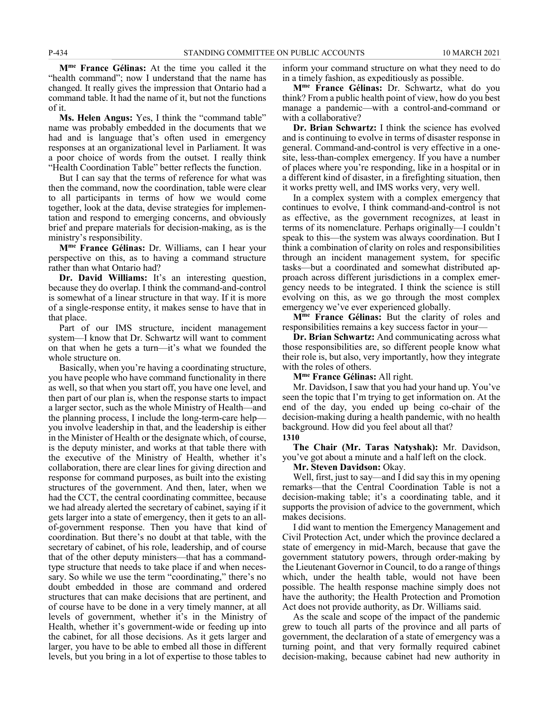**Mme France Gélinas:** At the time you called it the "health command"; now I understand that the name has changed. It really gives the impression that Ontario had a command table. It had the name of it, but not the functions of it.

**Ms. Helen Angus:** Yes, I think the "command table" name was probably embedded in the documents that we had and is language that's often used in emergency responses at an organizational level in Parliament. It was a poor choice of words from the outset. I really think "Health Coordination Table" better reflects the function.

But I can say that the terms of reference for what was then the command, now the coordination, table were clear to all participants in terms of how we would come together, look at the data, devise strategies for implementation and respond to emerging concerns, and obviously brief and prepare materials for decision-making, as is the ministry's responsibility.

**Mme France Gélinas:** Dr. Williams, can I hear your perspective on this, as to having a command structure rather than what Ontario had?

**Dr. David Williams:** It's an interesting question, because they do overlap. I think the command-and-control is somewhat of a linear structure in that way. If it is more of a single-response entity, it makes sense to have that in that place.

Part of our IMS structure, incident management system—I know that Dr. Schwartz will want to comment on that when he gets a turn—it's what we founded the whole structure on.

Basically, when you're having a coordinating structure, you have people who have command functionality in there as well, so that when you start off, you have one level, and then part of our plan is, when the response starts to impact a larger sector, such as the whole Ministry of Health—and the planning process, I include the long-term-care help you involve leadership in that, and the leadership is either in the Minister of Health or the designate which, of course, is the deputy minister, and works at that table there with the executive of the Ministry of Health, whether it's collaboration, there are clear lines for giving direction and response for command purposes, as built into the existing structures of the government. And then, later, when we had the CCT, the central coordinating committee, because we had already alerted the secretary of cabinet, saying if it gets larger into a state of emergency, then it gets to an allof-government response. Then you have that kind of coordination. But there's no doubt at that table, with the secretary of cabinet, of his role, leadership, and of course that of the other deputy ministers—that has a commandtype structure that needs to take place if and when necessary. So while we use the term "coordinating," there's no doubt embedded in those are command and ordered structures that can make decisions that are pertinent, and of course have to be done in a very timely manner, at all levels of government, whether it's in the Ministry of Health, whether it's government-wide or feeding up into the cabinet, for all those decisions. As it gets larger and larger, you have to be able to embed all those in different levels, but you bring in a lot of expertise to those tables to

inform your command structure on what they need to do in a timely fashion, as expeditiously as possible.

**Mme France Gélinas:** Dr. Schwartz, what do you think? From a public health point of view, how do you best manage a pandemic—with a control-and-command or with a collaborative?

**Dr. Brian Schwartz:** I think the science has evolved and is continuing to evolve in terms of disaster response in general. Command-and-control is very effective in a onesite, less-than-complex emergency. If you have a number of places where you're responding, like in a hospital or in a different kind of disaster, in a firefighting situation, then it works pretty well, and IMS works very, very well.

In a complex system with a complex emergency that continues to evolve, I think command-and-control is not as effective, as the government recognizes, at least in terms of its nomenclature. Perhaps originally—I couldn't speak to this—the system was always coordination. But I think a combination of clarity on roles and responsibilities through an incident management system, for specific tasks—but a coordinated and somewhat distributed approach across different jurisdictions in a complex emergency needs to be integrated. I think the science is still evolving on this, as we go through the most complex emergency we've ever experienced globally.

**Mme France Gélinas:** But the clarity of roles and responsibilities remains a key success factor in your—

**Dr. Brian Schwartz:** And communicating across what those responsibilities are, so different people know what their role is, but also, very importantly, how they integrate with the roles of others.

**Mme France Gélinas:** All right.

Mr. Davidson, I saw that you had your hand up. You've seen the topic that I'm trying to get information on. At the end of the day, you ended up being co-chair of the decision-making during a health pandemic, with no health background. How did you feel about all that?

**1310**

**The Chair (Mr. Taras Natyshak):** Mr. Davidson, you've got about a minute and a half left on the clock.

**Mr. Steven Davidson:** Okay.

Well, first, just to say—and I did say this in my opening remarks—that the Central Coordination Table is not a decision-making table; it's a coordinating table, and it supports the provision of advice to the government, which makes decisions.

I did want to mention the Emergency Management and Civil Protection Act, under which the province declared a state of emergency in mid-March, because that gave the government statutory powers, through order-making by the Lieutenant Governor in Council, to do a range of things which, under the health table, would not have been possible. The health response machine simply does not have the authority; the Health Protection and Promotion Act does not provide authority, as Dr. Williams said.

As the scale and scope of the impact of the pandemic grew to touch all parts of the province and all parts of government, the declaration of a state of emergency was a turning point, and that very formally required cabinet decision-making, because cabinet had new authority in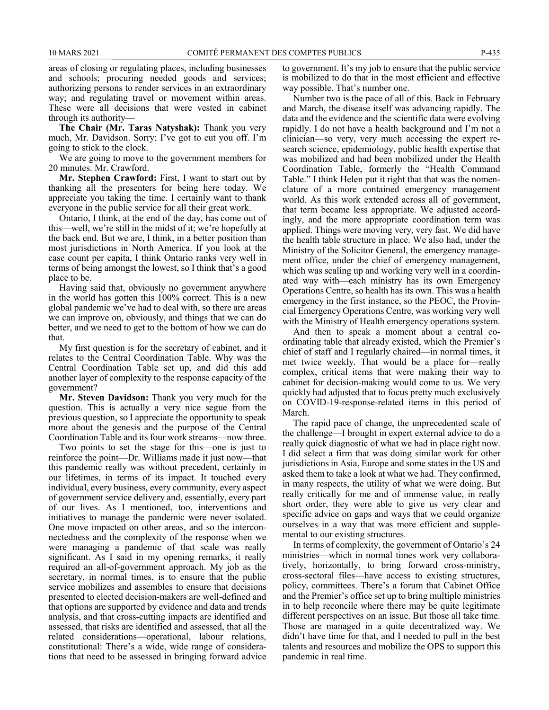areas of closing or regulating places, including businesses and schools; procuring needed goods and services; authorizing persons to render services in an extraordinary way; and regulating travel or movement within areas. These were all decisions that were vested in cabinet through its authority—

**The Chair (Mr. Taras Natyshak):** Thank you very much, Mr. Davidson. Sorry; I've got to cut you off. I'm going to stick to the clock.

We are going to move to the government members for 20 minutes. Mr. Crawford.

**Mr. Stephen Crawford:** First, I want to start out by thanking all the presenters for being here today. We appreciate you taking the time. I certainly want to thank everyone in the public service for all their great work.

Ontario, I think, at the end of the day, has come out of this—well, we're still in the midst of it; we're hopefully at the back end. But we are, I think, in a better position than most jurisdictions in North America. If you look at the case count per capita, I think Ontario ranks very well in terms of being amongst the lowest, so I think that's a good place to be.

Having said that, obviously no government anywhere in the world has gotten this 100% correct. This is a new global pandemic we've had to deal with, so there are areas we can improve on, obviously, and things that we can do better, and we need to get to the bottom of how we can do that.

My first question is for the secretary of cabinet, and it relates to the Central Coordination Table. Why was the Central Coordination Table set up, and did this add another layer of complexity to the response capacity of the government?

**Mr. Steven Davidson:** Thank you very much for the question. This is actually a very nice segue from the previous question, so I appreciate the opportunity to speak more about the genesis and the purpose of the Central Coordination Table and its four work streams—now three.

Two points to set the stage for this—one is just to reinforce the point—Dr. Williams made it just now—that this pandemic really was without precedent, certainly in our lifetimes, in terms of its impact. It touched every individual, every business, every community, every aspect of government service delivery and, essentially, every part of our lives. As I mentioned, too, interventions and initiatives to manage the pandemic were never isolated. One move impacted on other areas, and so the interconnectedness and the complexity of the response when we were managing a pandemic of that scale was really significant. As I said in my opening remarks, it really required an all-of-government approach. My job as the secretary, in normal times, is to ensure that the public service mobilizes and assembles to ensure that decisions presented to elected decision-makers are well-defined and that options are supported by evidence and data and trends analysis, and that cross-cutting impacts are identified and assessed, that risks are identified and assessed, that all the related considerations—operational, labour relations, constitutional: There's a wide, wide range of considerations that need to be assessed in bringing forward advice

to government. It's my job to ensure that the public service is mobilized to do that in the most efficient and effective way possible. That's number one.

Number two is the pace of all of this. Back in February and March, the disease itself was advancing rapidly. The data and the evidence and the scientific data were evolving rapidly. I do not have a health background and I'm not a clinician—so very, very much accessing the expert research science, epidemiology, public health expertise that was mobilized and had been mobilized under the Health Coordination Table, formerly the "Health Command Table." I think Helen put it right that that was the nomenclature of a more contained emergency management world. As this work extended across all of government, that term became less appropriate. We adjusted accordingly, and the more appropriate coordination term was applied. Things were moving very, very fast. We did have the health table structure in place. We also had, under the Ministry of the Solicitor General, the emergency management office, under the chief of emergency management, which was scaling up and working very well in a coordinated way with—each ministry has its own Emergency Operations Centre, so health has its own. This was a health emergency in the first instance, so the PEOC, the Provincial Emergency Operations Centre, was working very well with the Ministry of Health emergency operations system.

And then to speak a moment about a central coordinating table that already existed, which the Premier's chief of staff and I regularly chaired—in normal times, it met twice weekly. That would be a place for—really complex, critical items that were making their way to cabinet for decision-making would come to us. We very quickly had adjusted that to focus pretty much exclusively on COVID-19-response-related items in this period of March.

The rapid pace of change, the unprecedented scale of the challenge—I brought in expert external advice to do a really quick diagnostic of what we had in place right now. I did select a firm that was doing similar work for other jurisdictions in Asia, Europe and some states in the US and asked them to take a look at what we had. They confirmed, in many respects, the utility of what we were doing. But really critically for me and of immense value, in really short order, they were able to give us very clear and specific advice on gaps and ways that we could organize ourselves in a way that was more efficient and supplemental to our existing structures.

In terms of complexity, the government of Ontario's 24 ministries—which in normal times work very collaboratively, horizontally, to bring forward cross-ministry, cross-sectoral files—have access to existing structures, policy, committees. There's a forum that Cabinet Office and the Premier's office set up to bring multiple ministries in to help reconcile where there may be quite legitimate different perspectives on an issue. But those all take time. Those are managed in a quite decentralized way. We didn't have time for that, and I needed to pull in the best talents and resources and mobilize the OPS to support this pandemic in real time.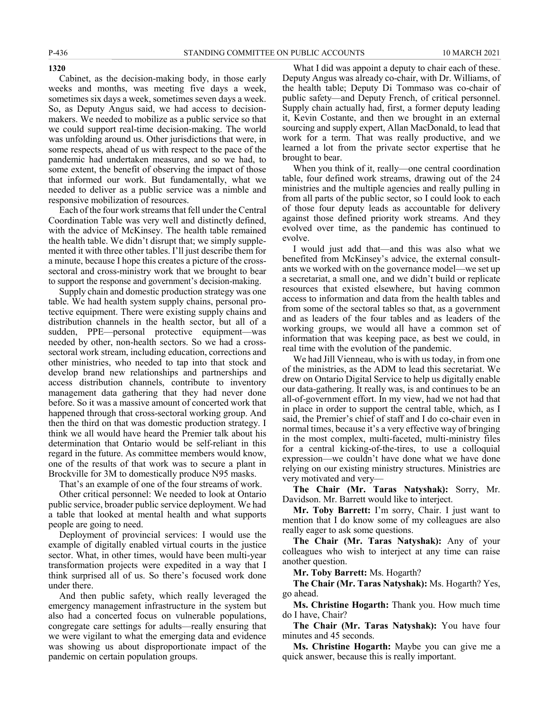Cabinet, as the decision-making body, in those early weeks and months, was meeting five days a week, sometimes six days a week, sometimes seven days a week. So, as Deputy Angus said, we had access to decisionmakers. We needed to mobilize as a public service so that we could support real-time decision-making. The world was unfolding around us. Other jurisdictions that were, in some respects, ahead of us with respect to the pace of the pandemic had undertaken measures, and so we had, to some extent, the benefit of observing the impact of those that informed our work. But fundamentally, what we needed to deliver as a public service was a nimble and responsive mobilization of resources.

Each of the four work streams that fell under the Central Coordination Table was very well and distinctly defined, with the advice of McKinsey. The health table remained the health table. We didn't disrupt that; we simply supplemented it with three other tables. I'll just describe them for a minute, because I hope this creates a picture of the crosssectoral and cross-ministry work that we brought to bear to support the response and government's decision-making.

Supply chain and domestic production strategy was one table. We had health system supply chains, personal protective equipment. There were existing supply chains and distribution channels in the health sector, but all of a sudden, PPE—personal protective equipment—was needed by other, non-health sectors. So we had a crosssectoral work stream, including education, corrections and other ministries, who needed to tap into that stock and develop brand new relationships and partnerships and access distribution channels, contribute to inventory management data gathering that they had never done before. So it was a massive amount of concerted work that happened through that cross-sectoral working group. And then the third on that was domestic production strategy. I think we all would have heard the Premier talk about his determination that Ontario would be self-reliant in this regard in the future. As committee members would know, one of the results of that work was to secure a plant in Brockville for 3M to domestically produce N95 masks.

That's an example of one of the four streams of work.

Other critical personnel: We needed to look at Ontario public service, broader public service deployment. We had a table that looked at mental health and what supports people are going to need.

Deployment of provincial services: I would use the example of digitally enabled virtual courts in the justice sector. What, in other times, would have been multi-year transformation projects were expedited in a way that I think surprised all of us. So there's focused work done under there.

And then public safety, which really leveraged the emergency management infrastructure in the system but also had a concerted focus on vulnerable populations, congregate care settings for adults—really ensuring that we were vigilant to what the emerging data and evidence was showing us about disproportionate impact of the pandemic on certain population groups.

What I did was appoint a deputy to chair each of these. Deputy Angus was already co-chair, with Dr. Williams, of the health table; Deputy Di Tommaso was co-chair of public safety—and Deputy French, of critical personnel. Supply chain actually had, first, a former deputy leading it, Kevin Costante, and then we brought in an external sourcing and supply expert, Allan MacDonald, to lead that work for a term. That was really productive, and we learned a lot from the private sector expertise that he brought to bear.

When you think of it, really—one central coordination table, four defined work streams, drawing out of the 24 ministries and the multiple agencies and really pulling in from all parts of the public sector, so I could look to each of those four deputy leads as accountable for delivery against those defined priority work streams. And they evolved over time, as the pandemic has continued to evolve.

I would just add that—and this was also what we benefited from McKinsey's advice, the external consultants we worked with on the governance model—we set up a secretariat, a small one, and we didn't build or replicate resources that existed elsewhere, but having common access to information and data from the health tables and from some of the sectoral tables so that, as a government and as leaders of the four tables and as leaders of the working groups, we would all have a common set of information that was keeping pace, as best we could, in real time with the evolution of the pandemic.

We had Jill Vienneau, who is with us today, in from one of the ministries, as the ADM to lead this secretariat. We drew on Ontario Digital Service to help us digitally enable our data-gathering. It really was, is and continues to be an all-of-government effort. In my view, had we not had that in place in order to support the central table, which, as I said, the Premier's chief of staff and I do co-chair even in normal times, because it's a very effective way of bringing in the most complex, multi-faceted, multi-ministry files for a central kicking-of-the-tires, to use a colloquial expression—we couldn't have done what we have done relying on our existing ministry structures. Ministries are very motivated and very—

**The Chair (Mr. Taras Natyshak):** Sorry, Mr. Davidson. Mr. Barrett would like to interject.

**Mr. Toby Barrett:** I'm sorry, Chair. I just want to mention that I do know some of my colleagues are also really eager to ask some questions.

**The Chair (Mr. Taras Natyshak):** Any of your colleagues who wish to interject at any time can raise another question.

**Mr. Toby Barrett:** Ms. Hogarth?

**The Chair (Mr. Taras Natyshak):** Ms. Hogarth? Yes, go ahead.

**Ms. Christine Hogarth:** Thank you. How much time do I have, Chair?

**The Chair (Mr. Taras Natyshak):** You have four minutes and 45 seconds.

**Ms. Christine Hogarth:** Maybe you can give me a quick answer, because this is really important.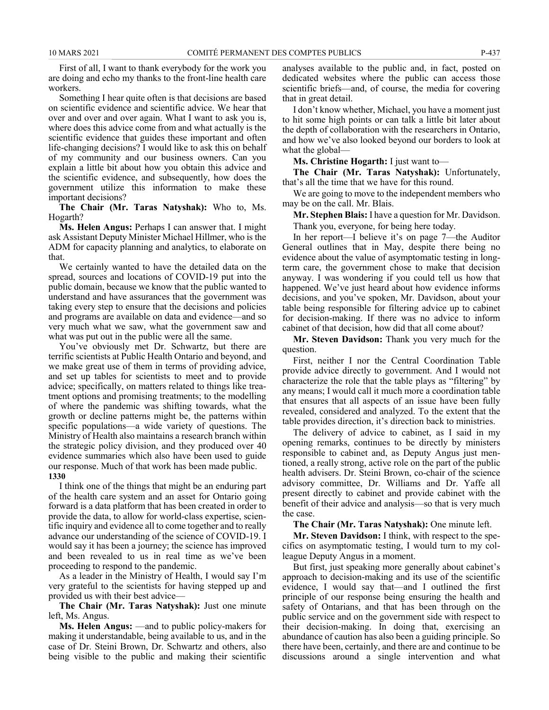First of all, I want to thank everybody for the work you are doing and echo my thanks to the front-line health care workers.

Something I hear quite often is that decisions are based on scientific evidence and scientific advice. We hear that over and over and over again. What I want to ask you is, where does this advice come from and what actually is the scientific evidence that guides these important and often life-changing decisions? I would like to ask this on behalf of my community and our business owners. Can you explain a little bit about how you obtain this advice and the scientific evidence, and subsequently, how does the government utilize this information to make these important decisions?

**The Chair (Mr. Taras Natyshak):** Who to, Ms. Hogarth?

**Ms. Helen Angus:** Perhaps I can answer that. I might ask Assistant Deputy Minister Michael Hillmer, who is the ADM for capacity planning and analytics, to elaborate on that.

We certainly wanted to have the detailed data on the spread, sources and locations of COVID-19 put into the public domain, because we know that the public wanted to understand and have assurances that the government was taking every step to ensure that the decisions and policies and programs are available on data and evidence—and so very much what we saw, what the government saw and what was put out in the public were all the same.

You've obviously met Dr. Schwartz, but there are terrific scientists at Public Health Ontario and beyond, and we make great use of them in terms of providing advice, and set up tables for scientists to meet and to provide advice; specifically, on matters related to things like treatment options and promising treatments; to the modelling of where the pandemic was shifting towards, what the growth or decline patterns might be, the patterns within specific populations—a wide variety of questions. The Ministry of Health also maintains a research branch within the strategic policy division, and they produced over 40 evidence summaries which also have been used to guide our response. Much of that work has been made public. **1330**

I think one of the things that might be an enduring part of the health care system and an asset for Ontario going forward is a data platform that has been created in order to provide the data, to allow for world-class expertise, scientific inquiry and evidence all to come together and to really advance our understanding of the science of COVID-19. I would say it has been a journey; the science has improved and been revealed to us in real time as we've been proceeding to respond to the pandemic.

As a leader in the Ministry of Health, I would say I'm very grateful to the scientists for having stepped up and provided us with their best advice—

**The Chair (Mr. Taras Natyshak):** Just one minute left, Ms. Angus.

**Ms. Helen Angus:** —and to public policy-makers for making it understandable, being available to us, and in the case of Dr. Steini Brown, Dr. Schwartz and others, also being visible to the public and making their scientific analyses available to the public and, in fact, posted on dedicated websites where the public can access those scientific briefs—and, of course, the media for covering that in great detail.

I don't know whether, Michael, you have a moment just to hit some high points or can talk a little bit later about the depth of collaboration with the researchers in Ontario, and how we've also looked beyond our borders to look at what the global-

**Ms. Christine Hogarth:** I just want to—

**The Chair (Mr. Taras Natyshak):** Unfortunately, that's all the time that we have for this round.

We are going to move to the independent members who may be on the call. Mr. Blais.

**Mr. Stephen Blais:** I have a question for Mr. Davidson. Thank you, everyone, for being here today.

In her report—I believe it's on page 7—the Auditor General outlines that in May, despite there being no evidence about the value of asymptomatic testing in longterm care, the government chose to make that decision anyway. I was wondering if you could tell us how that happened. We've just heard about how evidence informs decisions, and you've spoken, Mr. Davidson, about your table being responsible for filtering advice up to cabinet for decision-making. If there was no advice to inform cabinet of that decision, how did that all come about?

**Mr. Steven Davidson:** Thank you very much for the question.

First, neither I nor the Central Coordination Table provide advice directly to government. And I would not characterize the role that the table plays as "filtering" by any means; I would call it much more a coordination table that ensures that all aspects of an issue have been fully revealed, considered and analyzed. To the extent that the table provides direction, it's direction back to ministries.

The delivery of advice to cabinet, as I said in my opening remarks, continues to be directly by ministers responsible to cabinet and, as Deputy Angus just mentioned, a really strong, active role on the part of the public health advisers. Dr. Steini Brown, co-chair of the science advisory committee, Dr. Williams and Dr. Yaffe all present directly to cabinet and provide cabinet with the benefit of their advice and analysis—so that is very much the case.

**The Chair (Mr. Taras Natyshak):** One minute left.

**Mr. Steven Davidson:** I think, with respect to the specifics on asymptomatic testing, I would turn to my colleague Deputy Angus in a moment.

But first, just speaking more generally about cabinet's approach to decision-making and its use of the scientific evidence, I would say that—and I outlined the first principle of our response being ensuring the health and safety of Ontarians, and that has been through on the public service and on the government side with respect to their decision-making. In doing that, exercising an abundance of caution has also been a guiding principle. So there have been, certainly, and there are and continue to be discussions around a single intervention and what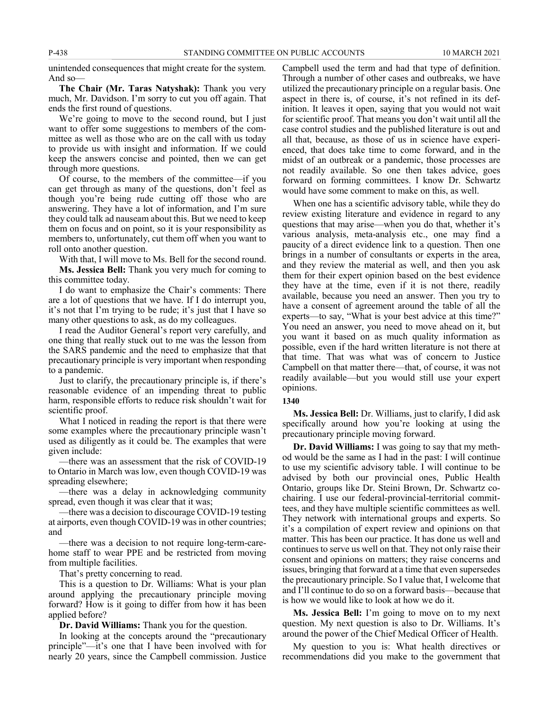unintended consequences that might create for the system. And so—

**The Chair (Mr. Taras Natyshak):** Thank you very much, Mr. Davidson. I'm sorry to cut you off again. That ends the first round of questions.

We're going to move to the second round, but I just want to offer some suggestions to members of the committee as well as those who are on the call with us today to provide us with insight and information. If we could keep the answers concise and pointed, then we can get through more questions.

Of course, to the members of the committee—if you can get through as many of the questions, don't feel as though you're being rude cutting off those who are answering. They have a lot of information, and I'm sure they could talk ad nauseam about this. But we need to keep them on focus and on point, so it is your responsibility as members to, unfortunately, cut them off when you want to roll onto another question.

With that, I will move to Ms. Bell for the second round.

**Ms. Jessica Bell:** Thank you very much for coming to this committee today.

I do want to emphasize the Chair's comments: There are a lot of questions that we have. If I do interrupt you, it's not that I'm trying to be rude; it's just that I have so many other questions to ask, as do my colleagues.

I read the Auditor General's report very carefully, and one thing that really stuck out to me was the lesson from the SARS pandemic and the need to emphasize that that precautionary principle is very important when responding to a pandemic.

Just to clarify, the precautionary principle is, if there's reasonable evidence of an impending threat to public harm, responsible efforts to reduce risk shouldn't wait for scientific proof.

What I noticed in reading the report is that there were some examples where the precautionary principle wasn't used as diligently as it could be. The examples that were given include:

—there was an assessment that the risk of COVID-19 to Ontario in March was low, even though COVID-19 was spreading elsewhere;

—there was a delay in acknowledging community spread, even though it was clear that it was;

—there was a decision to discourage COVID-19 testing at airports, even though COVID-19 was in other countries; and

—there was a decision to not require long-term-carehome staff to wear PPE and be restricted from moving from multiple facilities.

That's pretty concerning to read.

This is a question to Dr. Williams: What is your plan around applying the precautionary principle moving forward? How is it going to differ from how it has been applied before?

**Dr. David Williams:** Thank you for the question.

In looking at the concepts around the "precautionary principle"—it's one that I have been involved with for nearly 20 years, since the Campbell commission. Justice

Campbell used the term and had that type of definition. Through a number of other cases and outbreaks, we have utilized the precautionary principle on a regular basis. One aspect in there is, of course, it's not refined in its definition. It leaves it open, saying that you would not wait for scientific proof. That means you don't wait until all the case control studies and the published literature is out and all that, because, as those of us in science have experienced, that does take time to come forward, and in the midst of an outbreak or a pandemic, those processes are not readily available. So one then takes advice, goes forward on forming committees. I know Dr. Schwartz would have some comment to make on this, as well.

When one has a scientific advisory table, while they do review existing literature and evidence in regard to any questions that may arise—when you do that, whether it's various analysis, meta-analysis etc., one may find a paucity of a direct evidence link to a question. Then one brings in a number of consultants or experts in the area, and they review the material as well, and then you ask them for their expert opinion based on the best evidence they have at the time, even if it is not there, readily available, because you need an answer. Then you try to have a consent of agreement around the table of all the experts—to say, "What is your best advice at this time?" You need an answer, you need to move ahead on it, but you want it based on as much quality information as possible, even if the hard written literature is not there at that time. That was what was of concern to Justice Campbell on that matter there—that, of course, it was not readily available—but you would still use your expert opinions.

#### **1340**

**Ms. Jessica Bell:** Dr. Williams, just to clarify, I did ask specifically around how you're looking at using the precautionary principle moving forward.

**Dr. David Williams:** I was going to say that my method would be the same as I had in the past: I will continue to use my scientific advisory table. I will continue to be advised by both our provincial ones, Public Health Ontario, groups like Dr. Steini Brown, Dr. Schwartz cochairing. I use our federal-provincial-territorial committees, and they have multiple scientific committees as well. They network with international groups and experts. So it's a compilation of expert review and opinions on that matter. This has been our practice. It has done us well and continues to serve us well on that. They not only raise their consent and opinions on matters; they raise concerns and issues, bringing that forward at a time that even supersedes the precautionary principle. So I value that, I welcome that and I'll continue to do so on a forward basis—because that is how we would like to look at how we do it.

**Ms. Jessica Bell:** I'm going to move on to my next question. My next question is also to Dr. Williams. It's around the power of the Chief Medical Officer of Health.

My question to you is: What health directives or recommendations did you make to the government that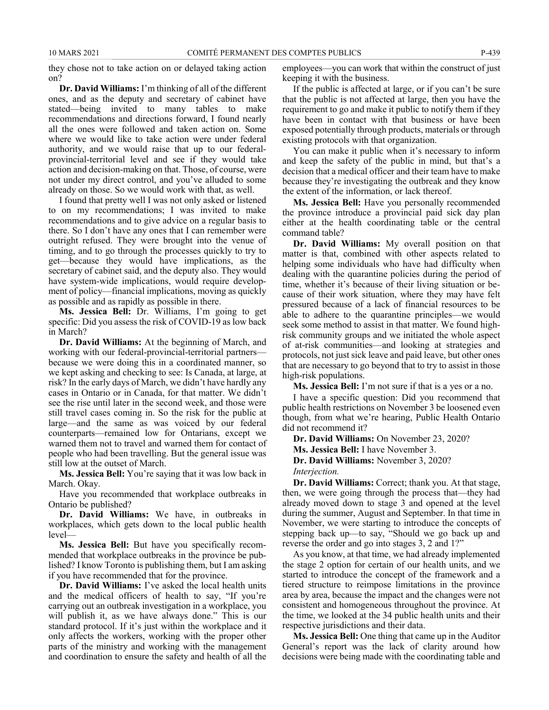they chose not to take action on or delayed taking action on?

**Dr. David Williams:** I'm thinking of all of the different ones, and as the deputy and secretary of cabinet have stated—being invited to many tables to make recommendations and directions forward, I found nearly all the ones were followed and taken action on. Some where we would like to take action were under federal authority, and we would raise that up to our federalprovincial-territorial level and see if they would take action and decision-making on that. Those, of course, were not under my direct control, and you've alluded to some already on those. So we would work with that, as well.

I found that pretty well I was not only asked or listened to on my recommendations; I was invited to make recommendations and to give advice on a regular basis to there. So I don't have any ones that I can remember were outright refused. They were brought into the venue of timing, and to go through the processes quickly to try to get—because they would have implications, as the secretary of cabinet said, and the deputy also. They would have system-wide implications, would require development of policy—financial implications, moving as quickly as possible and as rapidly as possible in there.

**Ms. Jessica Bell:** Dr. Williams, I'm going to get specific: Did you assess the risk of COVID-19 as low back in March?

**Dr. David Williams:** At the beginning of March, and working with our federal-provincial-territorial partners because we were doing this in a coordinated manner, so we kept asking and checking to see: Is Canada, at large, at risk? In the early days of March, we didn't have hardly any cases in Ontario or in Canada, for that matter. We didn't see the rise until later in the second week, and those were still travel cases coming in. So the risk for the public at large—and the same as was voiced by our federal counterparts—remained low for Ontarians, except we warned them not to travel and warned them for contact of people who had been travelling. But the general issue was still low at the outset of March.

**Ms. Jessica Bell:** You're saying that it was low back in March. Okay.

Have you recommended that workplace outbreaks in Ontario be published?

**Dr. David Williams:** We have, in outbreaks in workplaces, which gets down to the local public health level—

**Ms. Jessica Bell:** But have you specifically recommended that workplace outbreaks in the province be published? I know Toronto is publishing them, but I am asking if you have recommended that for the province.

**Dr. David Williams:** I've asked the local health units and the medical officers of health to say, "If you're carrying out an outbreak investigation in a workplace, you will publish it, as we have always done." This is our standard protocol. If it's just within the workplace and it only affects the workers, working with the proper other parts of the ministry and working with the management and coordination to ensure the safety and health of all the employees—you can work that within the construct of just keeping it with the business.

If the public is affected at large, or if you can't be sure that the public is not affected at large, then you have the requirement to go and make it public to notify them if they have been in contact with that business or have been exposed potentially through products, materials or through existing protocols with that organization.

You can make it public when it's necessary to inform and keep the safety of the public in mind, but that's a decision that a medical officer and their team have to make because they're investigating the outbreak and they know the extent of the information, or lack thereof.

**Ms. Jessica Bell:** Have you personally recommended the province introduce a provincial paid sick day plan either at the health coordinating table or the central command table?

**Dr. David Williams:** My overall position on that matter is that, combined with other aspects related to helping some individuals who have had difficulty when dealing with the quarantine policies during the period of time, whether it's because of their living situation or because of their work situation, where they may have felt pressured because of a lack of financial resources to be able to adhere to the quarantine principles—we would seek some method to assist in that matter. We found highrisk community groups and we initiated the whole aspect of at-risk communities—and looking at strategies and protocols, not just sick leave and paid leave, but other ones that are necessary to go beyond that to try to assist in those high-risk populations.

**Ms. Jessica Bell:** I'm not sure if that is a yes or a no.

I have a specific question: Did you recommend that public health restrictions on November 3 be loosened even though, from what we're hearing, Public Health Ontario did not recommend it?

**Dr. David Williams:** On November 23, 2020?

**Ms. Jessica Bell:** I have November 3.

**Dr. David Williams:** November 3, 2020?

*Interjection.*

**Dr. David Williams:** Correct; thank you. At that stage, then, we were going through the process that—they had already moved down to stage 3 and opened at the level during the summer, August and September. In that time in November, we were starting to introduce the concepts of stepping back up—to say, "Should we go back up and reverse the order and go into stages 3, 2 and 1?"

As you know, at that time, we had already implemented the stage 2 option for certain of our health units, and we started to introduce the concept of the framework and a tiered structure to reimpose limitations in the province area by area, because the impact and the changes were not consistent and homogeneous throughout the province. At the time, we looked at the 34 public health units and their respective jurisdictions and their data.

**Ms. Jessica Bell:** One thing that came up in the Auditor General's report was the lack of clarity around how decisions were being made with the coordinating table and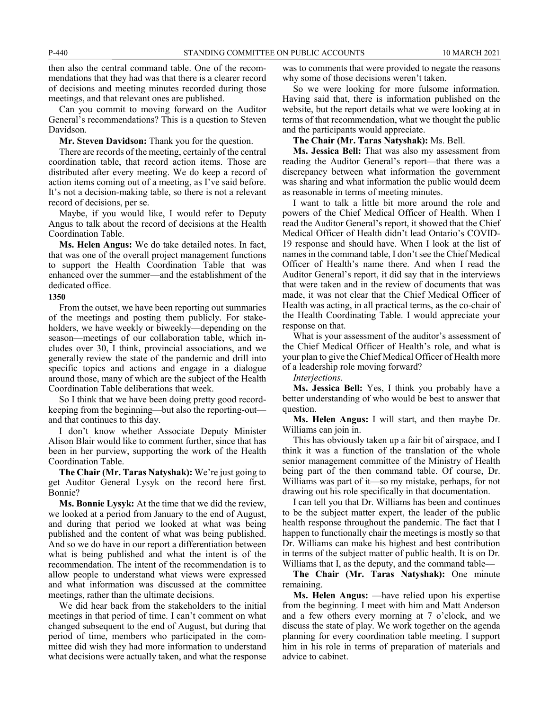then also the central command table. One of the recommendations that they had was that there is a clearer record of decisions and meeting minutes recorded during those meetings, and that relevant ones are published.

Can you commit to moving forward on the Auditor General's recommendations? This is a question to Steven Davidson.

**Mr. Steven Davidson:** Thank you for the question.

There are records of the meeting, certainly of the central coordination table, that record action items. Those are distributed after every meeting. We do keep a record of action items coming out of a meeting, as I've said before. It's not a decision-making table, so there is not a relevant record of decisions, per se.

Maybe, if you would like, I would refer to Deputy Angus to talk about the record of decisions at the Health Coordination Table.

**Ms. Helen Angus:** We do take detailed notes. In fact, that was one of the overall project management functions to support the Health Coordination Table that was enhanced over the summer—and the establishment of the dedicated office.

#### **1350**

From the outset, we have been reporting out summaries of the meetings and posting them publicly. For stakeholders, we have weekly or biweekly—depending on the season—meetings of our collaboration table, which includes over 30, I think, provincial associations, and we generally review the state of the pandemic and drill into specific topics and actions and engage in a dialogue around those, many of which are the subject of the Health Coordination Table deliberations that week.

So I think that we have been doing pretty good recordkeeping from the beginning—but also the reporting-out and that continues to this day.

I don't know whether Associate Deputy Minister Alison Blair would like to comment further, since that has been in her purview, supporting the work of the Health Coordination Table.

**The Chair (Mr. Taras Natyshak):** We're just going to get Auditor General Lysyk on the record here first. Bonnie?

**Ms. Bonnie Lysyk:** At the time that we did the review, we looked at a period from January to the end of August, and during that period we looked at what was being published and the content of what was being published. And so we do have in our report a differentiation between what is being published and what the intent is of the recommendation. The intent of the recommendation is to allow people to understand what views were expressed and what information was discussed at the committee meetings, rather than the ultimate decisions.

We did hear back from the stakeholders to the initial meetings in that period of time. I can't comment on what changed subsequent to the end of August, but during that period of time, members who participated in the committee did wish they had more information to understand what decisions were actually taken, and what the response was to comments that were provided to negate the reasons why some of those decisions weren't taken.

So we were looking for more fulsome information. Having said that, there is information published on the website, but the report details what we were looking at in terms of that recommendation, what we thought the public and the participants would appreciate.

**The Chair (Mr. Taras Natyshak):** Ms. Bell.

**Ms. Jessica Bell:** That was also my assessment from reading the Auditor General's report—that there was a discrepancy between what information the government was sharing and what information the public would deem as reasonable in terms of meeting minutes.

I want to talk a little bit more around the role and powers of the Chief Medical Officer of Health. When I read the Auditor General's report, it showed that the Chief Medical Officer of Health didn't lead Ontario's COVID-19 response and should have. When I look at the list of names in the command table, I don't see the Chief Medical Officer of Health's name there. And when I read the Auditor General's report, it did say that in the interviews that were taken and in the review of documents that was made, it was not clear that the Chief Medical Officer of Health was acting, in all practical terms, as the co-chair of the Health Coordinating Table. I would appreciate your response on that.

What is your assessment of the auditor's assessment of the Chief Medical Officer of Health's role, and what is your plan to give the Chief Medical Officer of Health more of a leadership role moving forward?

#### *Interjections.*

**Ms. Jessica Bell:** Yes, I think you probably have a better understanding of who would be best to answer that question.

**Ms. Helen Angus:** I will start, and then maybe Dr. Williams can join in.

This has obviously taken up a fair bit of airspace, and I think it was a function of the translation of the whole senior management committee of the Ministry of Health being part of the then command table. Of course, Dr. Williams was part of it—so my mistake, perhaps, for not drawing out his role specifically in that documentation.

I can tell you that Dr. Williams has been and continues to be the subject matter expert, the leader of the public health response throughout the pandemic. The fact that I happen to functionally chair the meetings is mostly so that Dr. Williams can make his highest and best contribution in terms of the subject matter of public health. It is on Dr. Williams that I, as the deputy, and the command table—

**The Chair (Mr. Taras Natyshak):** One minute remaining.

**Ms. Helen Angus:** —have relied upon his expertise from the beginning. I meet with him and Matt Anderson and a few others every morning at 7 o'clock, and we discuss the state of play. We work together on the agenda planning for every coordination table meeting. I support him in his role in terms of preparation of materials and advice to cabinet.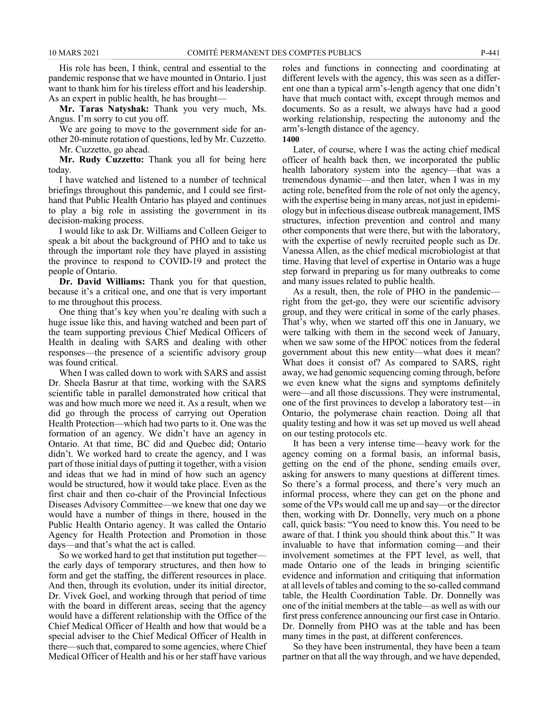His role has been, I think, central and essential to the pandemic response that we have mounted in Ontario. I just want to thank him for his tireless effort and his leadership. As an expert in public health, he has brought—

**Mr. Taras Natyshak:** Thank you very much, Ms. Angus. I'm sorry to cut you off.

We are going to move to the government side for another 20-minute rotation of questions, led by Mr. Cuzzetto.

Mr. Cuzzetto, go ahead.

**Mr. Rudy Cuzzetto:** Thank you all for being here today.

I have watched and listened to a number of technical briefings throughout this pandemic, and I could see firsthand that Public Health Ontario has played and continues to play a big role in assisting the government in its decision-making process.

I would like to ask Dr. Williams and Colleen Geiger to speak a bit about the background of PHO and to take us through the important role they have played in assisting the province to respond to COVID-19 and protect the people of Ontario.

**Dr. David Williams:** Thank you for that question, because it's a critical one, and one that is very important to me throughout this process.

One thing that's key when you're dealing with such a huge issue like this, and having watched and been part of the team supporting previous Chief Medical Officers of Health in dealing with SARS and dealing with other responses—the presence of a scientific advisory group was found critical.

When I was called down to work with SARS and assist Dr. Sheela Basrur at that time, working with the SARS scientific table in parallel demonstrated how critical that was and how much more we need it. As a result, when we did go through the process of carrying out Operation Health Protection—which had two parts to it. One was the formation of an agency. We didn't have an agency in Ontario. At that time, BC did and Quebec did; Ontario didn't. We worked hard to create the agency, and I was part of those initial days of putting it together, with a vision and ideas that we had in mind of how such an agency would be structured, how it would take place. Even as the first chair and then co-chair of the Provincial Infectious Diseases Advisory Committee—we knew that one day we would have a number of things in there, housed in the Public Health Ontario agency. It was called the Ontario Agency for Health Protection and Promotion in those days—and that's what the act is called.

So we worked hard to get that institution put together the early days of temporary structures, and then how to form and get the staffing, the different resources in place. And then, through its evolution, under its initial director, Dr. Vivek Goel, and working through that period of time with the board in different areas, seeing that the agency would have a different relationship with the Office of the Chief Medical Officer of Health and how that would be a special adviser to the Chief Medical Officer of Health in there—such that, compared to some agencies, where Chief Medical Officer of Health and his or her staff have various

roles and functions in connecting and coordinating at different levels with the agency, this was seen as a different one than a typical arm's-length agency that one didn't have that much contact with, except through memos and documents. So as a result, we always have had a good working relationship, respecting the autonomy and the arm's-length distance of the agency.

**1400**

Later, of course, where I was the acting chief medical officer of health back then, we incorporated the public health laboratory system into the agency—that was a tremendous dynamic—and then later, when I was in my acting role, benefited from the role of not only the agency, with the expertise being in many areas, not just in epidemiology but in infectious disease outbreak management, IMS structures, infection prevention and control and many other components that were there, but with the laboratory, with the expertise of newly recruited people such as Dr. Vanessa Allen, as the chief medical microbiologist at that time. Having that level of expertise in Ontario was a huge step forward in preparing us for many outbreaks to come and many issues related to public health.

As a result, then, the role of PHO in the pandemic right from the get-go, they were our scientific advisory group, and they were critical in some of the early phases. That's why, when we started off this one in January, we were talking with them in the second week of January, when we saw some of the HPOC notices from the federal government about this new entity—what does it mean? What does it consist of? As compared to SARS, right away, we had genomic sequencing coming through, before we even knew what the signs and symptoms definitely were—and all those discussions. They were instrumental, one of the first provinces to develop a laboratory test—in Ontario, the polymerase chain reaction. Doing all that quality testing and how it was set up moved us well ahead on our testing protocols etc.

It has been a very intense time—heavy work for the agency coming on a formal basis, an informal basis, getting on the end of the phone, sending emails over, asking for answers to many questions at different times. So there's a formal process, and there's very much an informal process, where they can get on the phone and some of the VPs would call me up and say—or the director then, working with Dr. Donnelly, very much on a phone call, quick basis: "You need to know this. You need to be aware of that. I think you should think about this." It was invaluable to have that information coming—and their involvement sometimes at the FPT level, as well, that made Ontario one of the leads in bringing scientific evidence and information and critiquing that information at all levels of tables and coming to the so-called command table, the Health Coordination Table. Dr. Donnelly was one of the initial members at the table—as well as with our first press conference announcing our first case in Ontario. Dr. Donnelly from PHO was at the table and has been many times in the past, at different conferences.

So they have been instrumental, they have been a team partner on that all the way through, and we have depended,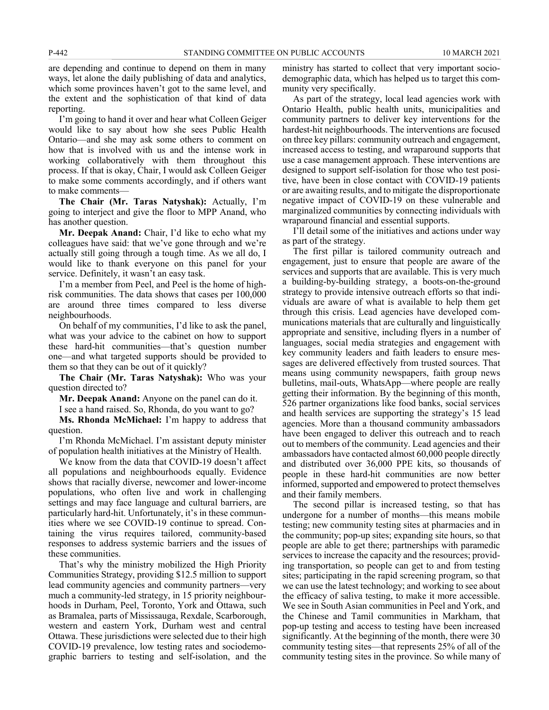are depending and continue to depend on them in many ways, let alone the daily publishing of data and analytics, which some provinces haven't got to the same level, and the extent and the sophistication of that kind of data reporting.

I'm going to hand it over and hear what Colleen Geiger would like to say about how she sees Public Health Ontario—and she may ask some others to comment on how that is involved with us and the intense work in working collaboratively with them throughout this process. If that is okay, Chair, I would ask Colleen Geiger to make some comments accordingly, and if others want to make comments—

**The Chair (Mr. Taras Natyshak):** Actually, I'm going to interject and give the floor to MPP Anand, who has another question.

**Mr. Deepak Anand:** Chair, I'd like to echo what my colleagues have said: that we've gone through and we're actually still going through a tough time. As we all do, I would like to thank everyone on this panel for your service. Definitely, it wasn't an easy task.

I'm a member from Peel, and Peel is the home of highrisk communities. The data shows that cases per 100,000 are around three times compared to less diverse neighbourhoods.

On behalf of my communities, I'd like to ask the panel, what was your advice to the cabinet on how to support these hard-hit communities—that's question number one—and what targeted supports should be provided to them so that they can be out of it quickly?

**The Chair (Mr. Taras Natyshak):** Who was your question directed to?

**Mr. Deepak Anand:** Anyone on the panel can do it.

I see a hand raised. So, Rhonda, do you want to go?

**Ms. Rhonda McMichael:** I'm happy to address that question.

I'm Rhonda McMichael. I'm assistant deputy minister of population health initiatives at the Ministry of Health.

We know from the data that COVID-19 doesn't affect all populations and neighbourhoods equally. Evidence shows that racially diverse, newcomer and lower-income populations, who often live and work in challenging settings and may face language and cultural barriers, are particularly hard-hit. Unfortunately, it's in these communities where we see COVID-19 continue to spread. Containing the virus requires tailored, community-based responses to address systemic barriers and the issues of these communities.

That's why the ministry mobilized the High Priority Communities Strategy, providing \$12.5 million to support lead community agencies and community partners—very much a community-led strategy, in 15 priority neighbourhoods in Durham, Peel, Toronto, York and Ottawa, such as Bramalea, parts of Mississauga, Rexdale, Scarborough, western and eastern York, Durham west and central Ottawa. These jurisdictions were selected due to their high COVID-19 prevalence, low testing rates and sociodemographic barriers to testing and self-isolation, and the ministry has started to collect that very important sociodemographic data, which has helped us to target this community very specifically.

As part of the strategy, local lead agencies work with Ontario Health, public health units, municipalities and community partners to deliver key interventions for the hardest-hit neighbourhoods. The interventions are focused on three key pillars: community outreach and engagement, increased access to testing, and wraparound supports that use a case management approach. These interventions are designed to support self-isolation for those who test positive, have been in close contact with COVID-19 patients or are awaiting results, and to mitigate the disproportionate negative impact of COVID-19 on these vulnerable and marginalized communities by connecting individuals with wraparound financial and essential supports.

I'll detail some of the initiatives and actions under way as part of the strategy.

The first pillar is tailored community outreach and engagement, just to ensure that people are aware of the services and supports that are available. This is very much a building-by-building strategy, a boots-on-the-ground strategy to provide intensive outreach efforts so that individuals are aware of what is available to help them get through this crisis. Lead agencies have developed communications materials that are culturally and linguistically appropriate and sensitive, including flyers in a number of languages, social media strategies and engagement with key community leaders and faith leaders to ensure messages are delivered effectively from trusted sources. That means using community newspapers, faith group news bulletins, mail-outs, WhatsApp—where people are really getting their information. By the beginning of this month, 526 partner organizations like food banks, social services and health services are supporting the strategy's 15 lead agencies. More than a thousand community ambassadors have been engaged to deliver this outreach and to reach out to members of the community. Lead agencies and their ambassadors have contacted almost 60,000 people directly and distributed over 36,000 PPE kits, so thousands of people in these hard-hit communities are now better informed, supported and empowered to protect themselves and their family members.

The second pillar is increased testing, so that has undergone for a number of months—this means mobile testing; new community testing sites at pharmacies and in the community; pop-up sites; expanding site hours, so that people are able to get there; partnerships with paramedic services to increase the capacity and the resources; providing transportation, so people can get to and from testing sites; participating in the rapid screening program, so that we can use the latest technology; and working to see about the efficacy of saliva testing, to make it more accessible. We see in South Asian communities in Peel and York, and the Chinese and Tamil communities in Markham, that pop-up testing and access to testing have been increased significantly. At the beginning of the month, there were 30 community testing sites—that represents 25% of all of the community testing sites in the province. So while many of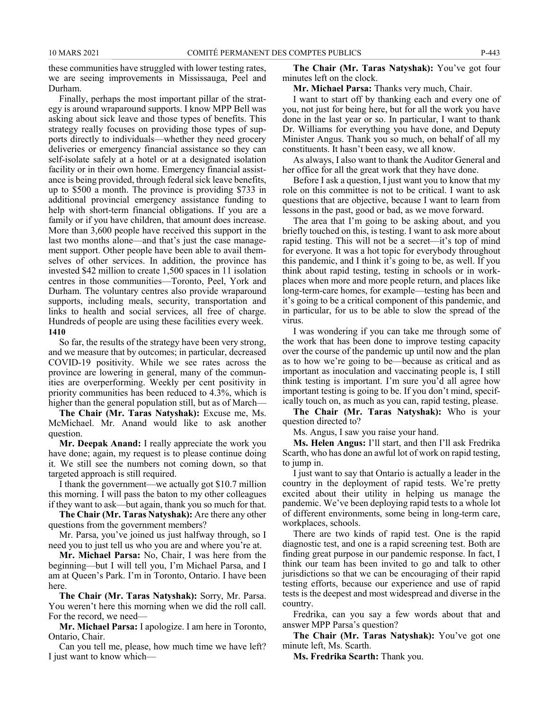these communities have struggled with lower testing rates, we are seeing improvements in Mississauga, Peel and Durham.

Finally, perhaps the most important pillar of the strategy is around wraparound supports. I know MPP Bell was asking about sick leave and those types of benefits. This strategy really focuses on providing those types of supports directly to individuals—whether they need grocery deliveries or emergency financial assistance so they can self-isolate safely at a hotel or at a designated isolation facility or in their own home. Emergency financial assistance is being provided, through federal sick leave benefits, up to \$500 a month. The province is providing \$733 in additional provincial emergency assistance funding to help with short-term financial obligations. If you are a family or if you have children, that amount does increase. More than 3,600 people have received this support in the last two months alone—and that's just the case management support. Other people have been able to avail themselves of other services. In addition, the province has invested \$42 million to create 1,500 spaces in 11 isolation centres in those communities—Toronto, Peel, York and Durham. The voluntary centres also provide wraparound supports, including meals, security, transportation and links to health and social services, all free of charge. Hundreds of people are using these facilities every week. **1410**

So far, the results of the strategy have been very strong, and we measure that by outcomes; in particular, decreased COVID-19 positivity. While we see rates across the province are lowering in general, many of the communities are overperforming. Weekly per cent positivity in priority communities has been reduced to 4.3%, which is higher than the general population still, but as of March—

**The Chair (Mr. Taras Natyshak):** Excuse me, Ms. McMichael. Mr. Anand would like to ask another question.

**Mr. Deepak Anand:** I really appreciate the work you have done; again, my request is to please continue doing it. We still see the numbers not coming down, so that targeted approach is still required.

I thank the government—we actually got \$10.7 million this morning. I will pass the baton to my other colleagues if they want to ask—but again, thank you so much for that.

**The Chair (Mr. Taras Natyshak):** Are there any other questions from the government members?

Mr. Parsa, you've joined us just halfway through, so I need you to just tell us who you are and where you're at.

**Mr. Michael Parsa:** No, Chair, I was here from the beginning—but I will tell you, I'm Michael Parsa, and I am at Queen's Park. I'm in Toronto, Ontario. I have been here.

**The Chair (Mr. Taras Natyshak):** Sorry, Mr. Parsa. You weren't here this morning when we did the roll call. For the record, we need—

**Mr. Michael Parsa:** I apologize. I am here in Toronto, Ontario, Chair.

Can you tell me, please, how much time we have left? I just want to know which—

**The Chair (Mr. Taras Natyshak):** You've got four minutes left on the clock.

**Mr. Michael Parsa:** Thanks very much, Chair.

I want to start off by thanking each and every one of you, not just for being here, but for all the work you have done in the last year or so. In particular, I want to thank Dr. Williams for everything you have done, and Deputy Minister Angus. Thank you so much, on behalf of all my constituents. It hasn't been easy, we all know.

As always, I also want to thank the Auditor General and her office for all the great work that they have done.

Before I ask a question, I just want you to know that my role on this committee is not to be critical. I want to ask questions that are objective, because I want to learn from lessons in the past, good or bad, as we move forward.

The area that I'm going to be asking about, and you briefly touched on this, is testing. I want to ask more about rapid testing. This will not be a secret—it's top of mind for everyone. It was a hot topic for everybody throughout this pandemic, and I think it's going to be, as well. If you think about rapid testing, testing in schools or in workplaces when more and more people return, and places like long-term-care homes, for example—testing has been and it's going to be a critical component of this pandemic, and in particular, for us to be able to slow the spread of the virus.

I was wondering if you can take me through some of the work that has been done to improve testing capacity over the course of the pandemic up until now and the plan as to how we're going to be—because as critical and as important as inoculation and vaccinating people is, I still think testing is important. I'm sure you'd all agree how important testing is going to be. If you don't mind, specifically touch on, as much as you can, rapid testing, please.

**The Chair (Mr. Taras Natyshak):** Who is your question directed to?

Ms. Angus, I saw you raise your hand.

**Ms. Helen Angus:** I'll start, and then I'll ask Fredrika Scarth, who has done an awful lot of work on rapid testing, to jump in.

I just want to say that Ontario is actually a leader in the country in the deployment of rapid tests. We're pretty excited about their utility in helping us manage the pandemic. We've been deploying rapid tests to a whole lot of different environments, some being in long-term care, workplaces, schools.

There are two kinds of rapid test. One is the rapid diagnostic test, and one is a rapid screening test. Both are finding great purpose in our pandemic response. In fact, I think our team has been invited to go and talk to other jurisdictions so that we can be encouraging of their rapid testing efforts, because our experience and use of rapid tests is the deepest and most widespread and diverse in the country.

Fredrika, can you say a few words about that and answer MPP Parsa's question?

**The Chair (Mr. Taras Natyshak):** You've got one minute left, Ms. Scarth.

**Ms. Fredrika Scarth:** Thank you.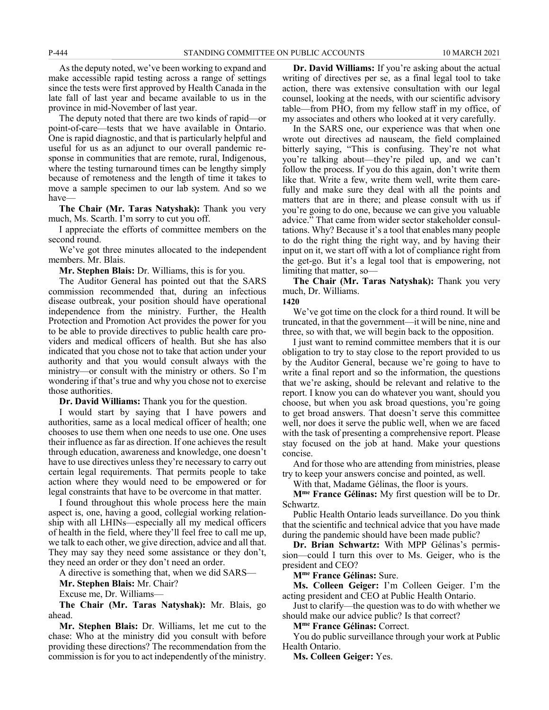As the deputy noted, we've been working to expand and make accessible rapid testing across a range of settings since the tests were first approved by Health Canada in the late fall of last year and became available to us in the province in mid-November of last year.

The deputy noted that there are two kinds of rapid—or point-of-care—tests that we have available in Ontario. One is rapid diagnostic, and that is particularly helpful and useful for us as an adjunct to our overall pandemic response in communities that are remote, rural, Indigenous, where the testing turnaround times can be lengthy simply because of remoteness and the length of time it takes to move a sample specimen to our lab system. And so we have—

**The Chair (Mr. Taras Natyshak):** Thank you very much, Ms. Scarth. I'm sorry to cut you off.

I appreciate the efforts of committee members on the second round.

We've got three minutes allocated to the independent members. Mr. Blais.

**Mr. Stephen Blais:** Dr. Williams, this is for you.

The Auditor General has pointed out that the SARS commission recommended that, during an infectious disease outbreak, your position should have operational independence from the ministry. Further, the Health Protection and Promotion Act provides the power for you to be able to provide directives to public health care providers and medical officers of health. But she has also indicated that you chose not to take that action under your authority and that you would consult always with the ministry—or consult with the ministry or others. So I'm wondering if that's true and why you chose not to exercise those authorities.

**Dr. David Williams:** Thank you for the question.

I would start by saying that I have powers and authorities, same as a local medical officer of health; one chooses to use them when one needs to use one. One uses their influence as far as direction. If one achieves the result through education, awareness and knowledge, one doesn't have to use directives unless they're necessary to carry out certain legal requirements. That permits people to take action where they would need to be empowered or for legal constraints that have to be overcome in that matter.

I found throughout this whole process here the main aspect is, one, having a good, collegial working relationship with all LHINs—especially all my medical officers of health in the field, where they'll feel free to call me up, we talk to each other, we give direction, advice and all that. They may say they need some assistance or they don't, they need an order or they don't need an order.

A directive is something that, when we did SARS—

**Mr. Stephen Blais:** Mr. Chair?

Excuse me, Dr. Williams—

**The Chair (Mr. Taras Natyshak):** Mr. Blais, go ahead.

**Mr. Stephen Blais:** Dr. Williams, let me cut to the chase: Who at the ministry did you consult with before providing these directions? The recommendation from the commission is for you to act independently of the ministry.

**Dr. David Williams:** If you're asking about the actual writing of directives per se, as a final legal tool to take action, there was extensive consultation with our legal counsel, looking at the needs, with our scientific advisory table—from PHO, from my fellow staff in my office, of my associates and others who looked at it very carefully.

In the SARS one, our experience was that when one wrote out directives ad nauseam, the field complained bitterly saying, "This is confusing. They're not what you're talking about—they're piled up, and we can't follow the process. If you do this again, don't write them like that. Write a few, write them well, write them carefully and make sure they deal with all the points and matters that are in there; and please consult with us if you're going to do one, because we can give you valuable advice." That came from wider sector stakeholder consultations. Why? Because it's a tool that enables many people to do the right thing the right way, and by having their input on it, we start off with a lot of compliance right from the get-go. But it's a legal tool that is empowering, not limiting that matter, so—

**The Chair (Mr. Taras Natyshak):** Thank you very much, Dr. Williams.

**1420**

We've got time on the clock for a third round. It will be truncated, in that the government—it will be nine, nine and three, so with that, we will begin back to the opposition.

I just want to remind committee members that it is our obligation to try to stay close to the report provided to us by the Auditor General, because we're going to have to write a final report and so the information, the questions that we're asking, should be relevant and relative to the report. I know you can do whatever you want, should you choose, but when you ask broad questions, you're going to get broad answers. That doesn't serve this committee well, nor does it serve the public well, when we are faced with the task of presenting a comprehensive report. Please stay focused on the job at hand. Make your questions concise.

And for those who are attending from ministries, please try to keep your answers concise and pointed, as well.

With that, Madame Gélinas, the floor is yours.

**Mme France Gélinas:** My first question will be to Dr. Schwartz.

Public Health Ontario leads surveillance. Do you think that the scientific and technical advice that you have made during the pandemic should have been made public?

**Dr. Brian Schwartz:** With MPP Gélinas's permission—could I turn this over to Ms. Geiger, who is the president and CEO?

**Mme France Gélinas:** Sure.

**Ms. Colleen Geiger:** I'm Colleen Geiger. I'm the acting president and CEO at Public Health Ontario.

Just to clarify—the question was to do with whether we should make our advice public? Is that correct?

**Mme France Gélinas:** Correct.

You do public surveillance through your work at Public Health Ontario.

**Ms. Colleen Geiger:** Yes.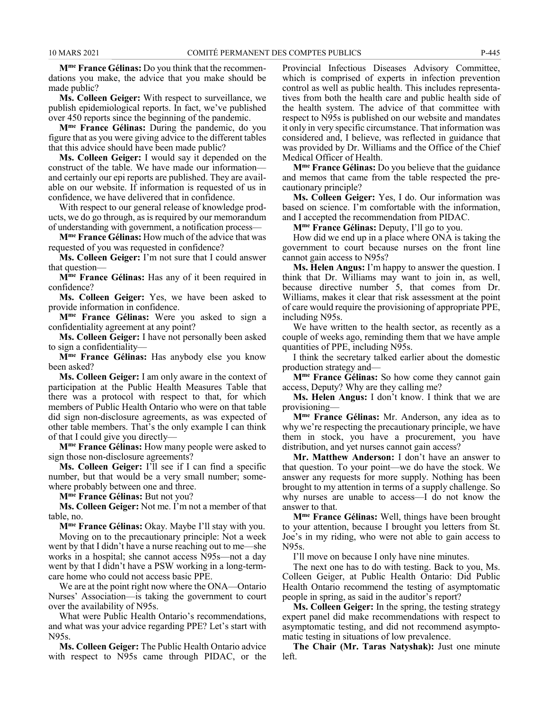**Mme France Gélinas:** Do you think that the recommendations you make, the advice that you make should be made public?

**Ms. Colleen Geiger:** With respect to surveillance, we publish epidemiological reports. In fact, we've published over 450 reports since the beginning of the pandemic.

**Mme France Gélinas:** During the pandemic, do you figure that as you were giving advice to the different tables that this advice should have been made public?

**Ms. Colleen Geiger:** I would say it depended on the construct of the table. We have made our information and certainly our epi reports are published. They are available on our website. If information is requested of us in confidence, we have delivered that in confidence.

With respect to our general release of knowledge products, we do go through, as is required by our memorandum of understanding with government, a notification process—

**Mme France Gélinas:** How much of the advice that was requested of you was requested in confidence?

**Ms. Colleen Geiger:** I'm not sure that I could answer that question—

**Mme France Gélinas:** Has any of it been required in confidence?

**Ms. Colleen Geiger:** Yes, we have been asked to provide information in confidence.

**Mme France Gélinas:** Were you asked to sign a confidentiality agreement at any point?

**Ms. Colleen Geiger:** I have not personally been asked to sign a confidentiality—

**Mme France Gélinas:** Has anybody else you know been asked?

**Ms. Colleen Geiger:** I am only aware in the context of participation at the Public Health Measures Table that there was a protocol with respect to that, for which members of Public Health Ontario who were on that table did sign non-disclosure agreements, as was expected of other table members. That's the only example I can think of that I could give you directly—

**Mme France Gélinas:** How many people were asked to sign those non-disclosure agreements?

**Ms. Colleen Geiger:** I'll see if I can find a specific number, but that would be a very small number; somewhere probably between one and three.

**Mme France Gélinas:** But not you?

**Ms. Colleen Geiger:** Not me. I'm not a member of that table, no.

**Mme France Gélinas:** Okay. Maybe I'll stay with you.

Moving on to the precautionary principle: Not a week went by that I didn't have a nurse reaching out to me—she works in a hospital; she cannot access N95s—not a day went by that I didn't have a PSW working in a long-termcare home who could not access basic PPE.

We are at the point right now where the ONA—Ontario Nurses' Association—is taking the government to court over the availability of N95s.

What were Public Health Ontario's recommendations, and what was your advice regarding PPE? Let's start with N95s.

**Ms. Colleen Geiger:** The Public Health Ontario advice with respect to N95s came through PIDAC, or the Provincial Infectious Diseases Advisory Committee, which is comprised of experts in infection prevention control as well as public health. This includes representatives from both the health care and public health side of the health system. The advice of that committee with respect to N95s is published on our website and mandates it only in very specific circumstance. That information was considered and, I believe, was reflected in guidance that was provided by Dr. Williams and the Office of the Chief Medical Officer of Health.

**Mme France Gélinas:** Do you believe that the guidance and memos that came from the table respected the precautionary principle?

**Ms. Colleen Geiger:** Yes, I do. Our information was based on science. I'm comfortable with the information, and I accepted the recommendation from PIDAC.

**Mme France Gélinas:** Deputy, I'll go to you.

How did we end up in a place where ONA is taking the government to court because nurses on the front line cannot gain access to N95s?

**Ms. Helen Angus:** I'm happy to answer the question. I think that Dr. Williams may want to join in, as well, because directive number 5, that comes from Dr. Williams, makes it clear that risk assessment at the point of care would require the provisioning of appropriate PPE, including N95s.

We have written to the health sector, as recently as a couple of weeks ago, reminding them that we have ample quantities of PPE, including N95s.

I think the secretary talked earlier about the domestic production strategy and—

**Mme France Gélinas:** So how come they cannot gain access, Deputy? Why are they calling me?

**Ms. Helen Angus:** I don't know. I think that we are provisioning—

**Mme France Gélinas:** Mr. Anderson, any idea as to why we're respecting the precautionary principle, we have them in stock, you have a procurement, you have distribution, and yet nurses cannot gain access?

**Mr. Matthew Anderson:** I don't have an answer to that question. To your point—we do have the stock. We answer any requests for more supply. Nothing has been brought to my attention in terms of a supply challenge. So why nurses are unable to access—I do not know the answer to that.

**Mme France Gélinas:** Well, things have been brought to your attention, because I brought you letters from St. Joe's in my riding, who were not able to gain access to N95s.

I'll move on because I only have nine minutes.

The next one has to do with testing. Back to you, Ms. Colleen Geiger, at Public Health Ontario: Did Public Health Ontario recommend the testing of asymptomatic people in spring, as said in the auditor's report?

**Ms. Colleen Geiger:** In the spring, the testing strategy expert panel did make recommendations with respect to asymptomatic testing, and did not recommend asymptomatic testing in situations of low prevalence.

**The Chair (Mr. Taras Natyshak):** Just one minute left.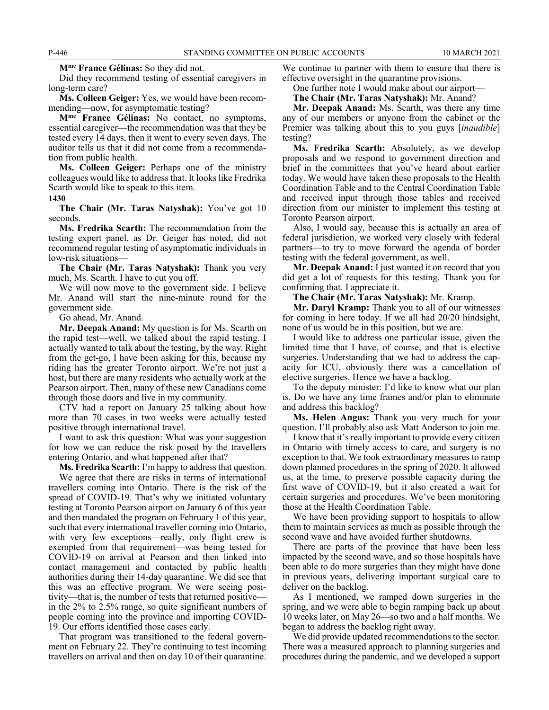**Mme France Gélinas:** So they did not.

Did they recommend testing of essential caregivers in long-term care?

**Ms. Colleen Geiger:** Yes, we would have been recommending—now, for asymptomatic testing?

**Mme France Gélinas:** No contact, no symptoms, essential caregiver—the recommendation was that they be tested every 14 days, then it went to every seven days. The auditor tells us that it did not come from a recommendation from public health.

**Ms. Colleen Geiger:** Perhaps one of the ministry colleagues would like to address that. It looks like Fredrika Scarth would like to speak to this item.

**1430**

**The Chair (Mr. Taras Natyshak):** You've got 10 seconds.

**Ms. Fredrika Scarth:** The recommendation from the testing expert panel, as Dr. Geiger has noted, did not recommend regular testing of asymptomatic individuals in low-risk situations—

**The Chair (Mr. Taras Natyshak):** Thank you very much, Ms. Scarth. I have to cut you off.

We will now move to the government side. I believe Mr. Anand will start the nine-minute round for the government side.

Go ahead, Mr. Anand.

**Mr. Deepak Anand:** My question is for Ms. Scarth on the rapid test—well, we talked about the rapid testing. I actually wanted to talk about the testing, by the way. Right from the get-go, I have been asking for this, because my riding has the greater Toronto airport. We're not just a host, but there are many residents who actually work at the Pearson airport. Then, many of these new Canadians come through those doors and live in my community.

CTV had a report on January 25 talking about how more than 70 cases in two weeks were actually tested positive through international travel.

I want to ask this question: What was your suggestion for how we can reduce the risk posed by the travellers entering Ontario, and what happened after that?

**Ms. Fredrika Scarth:** I'm happy to address that question.

We agree that there are risks in terms of international travellers coming into Ontario. There is the risk of the spread of COVID-19. That's why we initiated voluntary testing at Toronto Pearson airport on January 6 of this year and then mandated the program on February 1 of this year, such that every international traveller coming into Ontario, with very few exceptions—really, only flight crew is exempted from that requirement—was being tested for COVID-19 on arrival at Pearson and then linked into contact management and contacted by public health authorities during their 14-day quarantine. We did see that this was an effective program. We were seeing positivity—that is, the number of tests that returned positive in the 2% to 2.5% range, so quite significant numbers of people coming into the province and importing COVID-19. Our efforts identified those cases early.

That program was transitioned to the federal government on February 22. They're continuing to test incoming travellers on arrival and then on day 10 of their quarantine. We continue to partner with them to ensure that there is effective oversight in the quarantine provisions.

One further note I would make about our airport—

**The Chair (Mr. Taras Natyshak):** Mr. Anand?

**Mr. Deepak Anand:** Ms. Scarth, was there any time any of our members or anyone from the cabinet or the Premier was talking about this to you guys [*inaudible*] testing?

**Ms. Fredrika Scarth:** Absolutely, as we develop proposals and we respond to government direction and brief in the committees that you've heard about earlier today. We would have taken these proposals to the Health Coordination Table and to the Central Coordination Table and received input through those tables and received direction from our minister to implement this testing at Toronto Pearson airport.

Also, I would say, because this is actually an area of federal jurisdiction, we worked very closely with federal partners—to try to move forward the agenda of border testing with the federal government, as well.

**Mr. Deepak Anand:** I just wanted it on record that you did get a lot of requests for this testing. Thank you for confirming that. I appreciate it.

**The Chair (Mr. Taras Natyshak):** Mr. Kramp.

**Mr. Daryl Kramp:** Thank you to all of our witnesses for coming in here today. If we all had 20/20 hindsight, none of us would be in this position, but we are.

I would like to address one particular issue, given the limited time that I have, of course, and that is elective surgeries. Understanding that we had to address the capacity for ICU, obviously there was a cancellation of elective surgeries. Hence we have a backlog.

To the deputy minister: I'd like to know what our plan is. Do we have any time frames and/or plan to eliminate and address this backlog?

**Ms. Helen Angus:** Thank you very much for your question. I'll probably also ask Matt Anderson to join me.

I know that it's really important to provide every citizen in Ontario with timely access to care, and surgery is no exception to that. We took extraordinary measures to ramp down planned procedures in the spring of 2020. It allowed us, at the time, to preserve possible capacity during the first wave of COVID-19, but it also created a wait for certain surgeries and procedures. We've been monitoring those at the Health Coordination Table.

We have been providing support to hospitals to allow them to maintain services as much as possible through the second wave and have avoided further shutdowns.

There are parts of the province that have been less impacted by the second wave, and so those hospitals have been able to do more surgeries than they might have done in previous years, delivering important surgical care to deliver on the backlog.

As I mentioned, we ramped down surgeries in the spring, and we were able to begin ramping back up about 10 weeks later, on May 26—so two and a half months. We began to address the backlog right away.

We did provide updated recommendations to the sector. There was a measured approach to planning surgeries and procedures during the pandemic, and we developed a support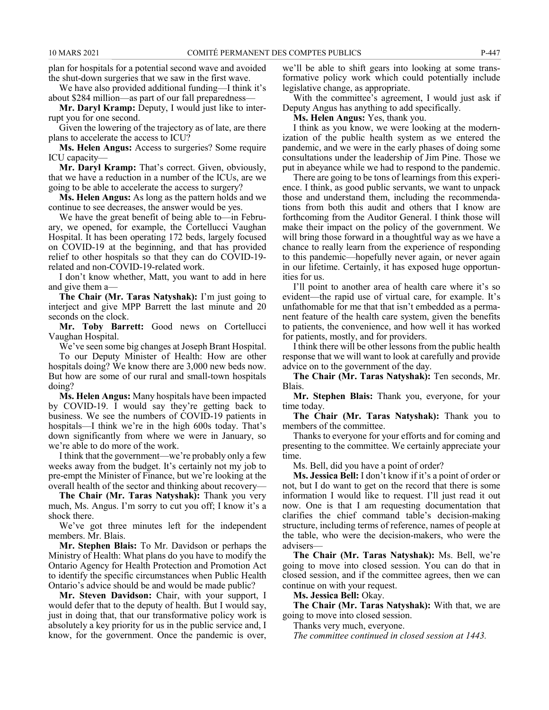plan for hospitals for a potential second wave and avoided the shut-down surgeries that we saw in the first wave.

We have also provided additional funding—I think it's about \$284 million—as part of our fall preparedness—

**Mr. Daryl Kramp:** Deputy, I would just like to interrupt you for one second.

Given the lowering of the trajectory as of late, are there plans to accelerate the access to ICU?

**Ms. Helen Angus:** Access to surgeries? Some require ICU capacity—

**Mr. Daryl Kramp:** That's correct. Given, obviously, that we have a reduction in a number of the ICUs, are we going to be able to accelerate the access to surgery?

**Ms. Helen Angus:** As long as the pattern holds and we continue to see decreases, the answer would be yes.

We have the great benefit of being able to—in February, we opened, for example, the Cortellucci Vaughan Hospital. It has been operating 172 beds, largely focused on COVID-19 at the beginning, and that has provided relief to other hospitals so that they can do COVID-19 related and non-COVID-19-related work.

I don't know whether, Matt, you want to add in here and give them a—

**The Chair (Mr. Taras Natyshak):** I'm just going to interject and give MPP Barrett the last minute and 20 seconds on the clock.

**Mr. Toby Barrett:** Good news on Cortellucci Vaughan Hospital.

We've seen some big changes at Joseph Brant Hospital.

To our Deputy Minister of Health: How are other hospitals doing? We know there are 3,000 new beds now. But how are some of our rural and small-town hospitals doing?

**Ms. Helen Angus:** Many hospitals have been impacted by COVID-19. I would say they're getting back to business. We see the numbers of COVID-19 patients in hospitals—I think we're in the high 600s today. That's down significantly from where we were in January, so we're able to do more of the work.

I think that the government—we're probably only a few weeks away from the budget. It's certainly not my job to pre-empt the Minister of Finance, but we're looking at the overall health of the sector and thinking about recovery—

**The Chair (Mr. Taras Natyshak):** Thank you very much, Ms. Angus. I'm sorry to cut you off; I know it's a shock there.

We've got three minutes left for the independent members. Mr. Blais.

**Mr. Stephen Blais:** To Mr. Davidson or perhaps the Ministry of Health: What plans do you have to modify the Ontario Agency for Health Protection and Promotion Act to identify the specific circumstances when Public Health Ontario's advice should be and would be made public?

**Mr. Steven Davidson:** Chair, with your support, I would defer that to the deputy of health. But I would say, just in doing that, that our transformative policy work is absolutely a key priority for us in the public service and, I know, for the government. Once the pandemic is over,

we'll be able to shift gears into looking at some transformative policy work which could potentially include legislative change, as appropriate.

With the committee's agreement, I would just ask if Deputy Angus has anything to add specifically.

**Ms. Helen Angus:** Yes, thank you.

I think as you know, we were looking at the modernization of the public health system as we entered the pandemic, and we were in the early phases of doing some consultations under the leadership of Jim Pine. Those we put in abeyance while we had to respond to the pandemic.

There are going to be tons of learnings from this experience. I think, as good public servants, we want to unpack those and understand them, including the recommendations from both this audit and others that I know are forthcoming from the Auditor General. I think those will make their impact on the policy of the government. We will bring those forward in a thoughtful way as we have a chance to really learn from the experience of responding to this pandemic—hopefully never again, or never again in our lifetime. Certainly, it has exposed huge opportunities for us.

I'll point to another area of health care where it's so evident—the rapid use of virtual care, for example. It's unfathomable for me that that isn't embedded as a permanent feature of the health care system, given the benefits to patients, the convenience, and how well it has worked for patients, mostly, and for providers.

I think there will be other lessons from the public health response that we will want to look at carefully and provide advice on to the government of the day.

**The Chair (Mr. Taras Natyshak):** Ten seconds, Mr. Blais.

**Mr. Stephen Blais:** Thank you, everyone, for your time today.

**The Chair (Mr. Taras Natyshak):** Thank you to members of the committee.

Thanks to everyone for your efforts and for coming and presenting to the committee. We certainly appreciate your time.

Ms. Bell, did you have a point of order?

**Ms. Jessica Bell:** I don't know if it's a point of order or not, but I do want to get on the record that there is some information I would like to request. I'll just read it out now. One is that I am requesting documentation that clarifies the chief command table's decision-making structure, including terms of reference, names of people at the table, who were the decision-makers, who were the advisers—

**The Chair (Mr. Taras Natyshak):** Ms. Bell, we're going to move into closed session. You can do that in closed session, and if the committee agrees, then we can continue on with your request.

**Ms. Jessica Bell:** Okay.

**The Chair (Mr. Taras Natyshak):** With that, we are going to move into closed session.

Thanks very much, everyone.

*The committee continued in closed session at 1443.*